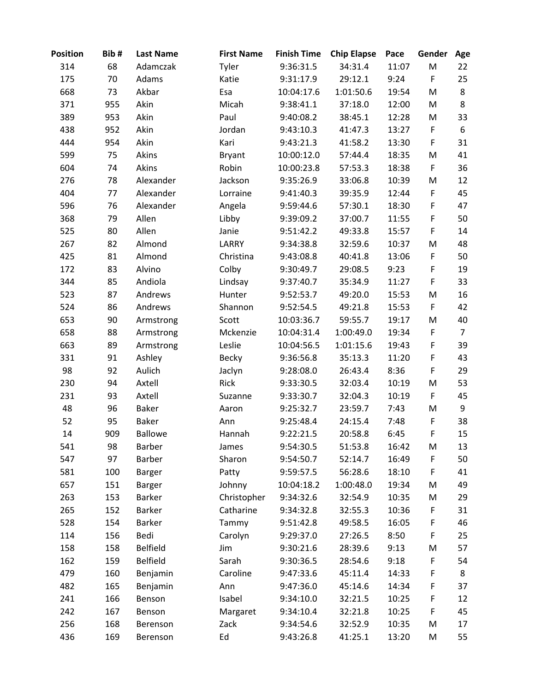| <b>Position</b> | Bib# | <b>Last Name</b> | <b>First Name</b> | <b>Finish Time</b> | <b>Chip Elapse</b> | Pace  | Gender      | Age            |
|-----------------|------|------------------|-------------------|--------------------|--------------------|-------|-------------|----------------|
| 314             | 68   | Adamczak         | Tyler             | 9:36:31.5          | 34:31.4            | 11:07 | M           | 22             |
| 175             | 70   | Adams            | Katie             | 9:31:17.9          | 29:12.1            | 9:24  | $\mathsf F$ | 25             |
| 668             | 73   | Akbar            | Esa               | 10:04:17.6         | 1:01:50.6          | 19:54 | M           | 8              |
| 371             | 955  | Akin             | Micah             | 9:38:41.1          | 37:18.0            | 12:00 | M           | 8              |
| 389             | 953  | Akin             | Paul              | 9:40:08.2          | 38:45.1            | 12:28 | M           | 33             |
| 438             | 952  | Akin             | Jordan            | 9:43:10.3          | 41:47.3            | 13:27 | F           | 6              |
| 444             | 954  | Akin             | Kari              | 9:43:21.3          | 41:58.2            | 13:30 | F           | 31             |
| 599             | 75   | Akins            | <b>Bryant</b>     | 10:00:12.0         | 57:44.4            | 18:35 | M           | 41             |
| 604             | 74   | Akins            | Robin             | 10:00:23.8         | 57:53.3            | 18:38 | $\mathsf F$ | 36             |
| 276             | 78   | Alexander        | Jackson           | 9:35:26.9          | 33:06.8            | 10:39 | M           | 12             |
| 404             | 77   | Alexander        | Lorraine          | 9:41:40.3          | 39:35.9            | 12:44 | $\mathsf F$ | 45             |
| 596             | 76   | Alexander        | Angela            | 9:59:44.6          | 57:30.1            | 18:30 | F           | 47             |
| 368             | 79   | Allen            | Libby             | 9:39:09.2          | 37:00.7            | 11:55 | F           | 50             |
| 525             | 80   | Allen            | Janie             | 9:51:42.2          | 49:33.8            | 15:57 | $\mathsf F$ | 14             |
| 267             | 82   | Almond           | LARRY             | 9:34:38.8          | 32:59.6            | 10:37 | M           | 48             |
| 425             | 81   | Almond           | Christina         | 9:43:08.8          | 40:41.8            | 13:06 | $\mathsf F$ | 50             |
| 172             | 83   | Alvino           | Colby             | 9:30:49.7          | 29:08.5            | 9:23  | F           | 19             |
| 344             | 85   | Andiola          | Lindsay           | 9:37:40.7          | 35:34.9            | 11:27 | $\mathsf F$ | 33             |
| 523             | 87   | Andrews          | Hunter            | 9:52:53.7          | 49:20.0            | 15:53 | M           | 16             |
| 524             | 86   | Andrews          | Shannon           | 9:52:54.5          | 49:21.8            | 15:53 | F           | 42             |
| 653             | 90   | Armstrong        | Scott             | 10:03:36.7         | 59:55.7            | 19:17 | M           | 40             |
| 658             | 88   | Armstrong        | Mckenzie          | 10:04:31.4         | 1:00:49.0          | 19:34 | F           | $\overline{7}$ |
| 663             | 89   | Armstrong        | Leslie            | 10:04:56.5         | 1:01:15.6          | 19:43 | F           | 39             |
| 331             | 91   | Ashley           | <b>Becky</b>      | 9:36:56.8          | 35:13.3            | 11:20 | F           | 43             |
| 98              | 92   | Aulich           | Jaclyn            | 9:28:08.0          | 26:43.4            | 8:36  | F           | 29             |
| 230             | 94   | Axtell           | Rick              | 9:33:30.5          | 32:03.4            | 10:19 | M           | 53             |
| 231             | 93   | Axtell           | Suzanne           | 9:33:30.7          | 32:04.3            | 10:19 | F           | 45             |
| 48              | 96   | <b>Baker</b>     | Aaron             | 9:25:32.7          | 23:59.7            | 7:43  | M           | 9              |
| 52              | 95   | <b>Baker</b>     | Ann               | 9:25:48.4          | 24:15.4            | 7:48  | F           | 38             |
| 14              | 909  | <b>Ballowe</b>   | Hannah            | 9:22:21.5          | 20:58.8            | 6:45  | $\mathsf F$ | 15             |
| 541             | 98   | <b>Barber</b>    | James             | 9:54:30.5          | 51:53.8            | 16:42 | M           | 13             |
| 547             | 97   | <b>Barber</b>    | Sharon            | 9:54:50.7          | 52:14.7            | 16:49 | F           | 50             |
| 581             | 100  | Barger           | Patty             | 9:59:57.5          | 56:28.6            | 18:10 | F           | 41             |
| 657             | 151  | Barger           | Johnny            | 10:04:18.2         | 1:00:48.0          | 19:34 | M           | 49             |
| 263             | 153  | <b>Barker</b>    | Christopher       | 9:34:32.6          | 32:54.9            | 10:35 | M           | 29             |
| 265             | 152  | <b>Barker</b>    | Catharine         | 9:34:32.8          | 32:55.3            | 10:36 | F           | 31             |
| 528             | 154  | Barker           | Tammy             | 9:51:42.8          | 49:58.5            | 16:05 | F           | 46             |
| 114             | 156  | Bedi             | Carolyn           | 9:29:37.0          | 27:26.5            | 8:50  | F           | 25             |
| 158             | 158  | <b>Belfield</b>  | Jim               | 9:30:21.6          | 28:39.6            | 9:13  | M           | 57             |
| 162             | 159  | <b>Belfield</b>  | Sarah             | 9:30:36.5          | 28:54.6            | 9:18  | F           | 54             |
| 479             | 160  | Benjamin         | Caroline          | 9:47:33.6          | 45:11.4            | 14:33 | F           | 8              |
| 482             | 165  | Benjamin         | Ann               | 9:47:36.0          | 45:14.6            | 14:34 | F           | 37             |
| 241             | 166  | Benson           | Isabel            | 9:34:10.0          | 32:21.5            | 10:25 | $\mathsf F$ | 12             |
| 242             | 167  | Benson           | Margaret          | 9:34:10.4          | 32:21.8            | 10:25 | F           | 45             |
| 256             | 168  | Berenson         | Zack              | 9:34:54.6          | 32:52.9            | 10:35 | M           | 17             |
| 436             | 169  | Berenson         | Ed                | 9:43:26.8          | 41:25.1            | 13:20 | M           | 55             |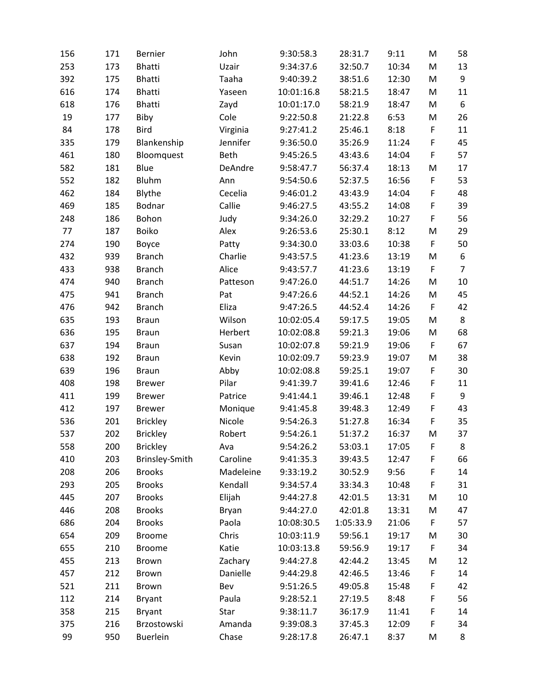| 156 | 171 | Bernier         | John        | 9:30:58.3  | 28:31.7   | 9:11  | M           | 58               |
|-----|-----|-----------------|-------------|------------|-----------|-------|-------------|------------------|
| 253 | 173 | <b>Bhatti</b>   | Uzair       | 9:34:37.6  | 32:50.7   | 10:34 | M           | 13               |
| 392 | 175 | <b>Bhatti</b>   | Taaha       | 9:40:39.2  | 38:51.6   | 12:30 | M           | $\boldsymbol{9}$ |
| 616 | 174 | <b>Bhatti</b>   | Yaseen      | 10:01:16.8 | 58:21.5   | 18:47 | M           | 11               |
| 618 | 176 | <b>Bhatti</b>   | Zayd        | 10:01:17.0 | 58:21.9   | 18:47 | M           | 6                |
| 19  | 177 | Biby            | Cole        | 9:22:50.8  | 21:22.8   | 6:53  | M           | 26               |
| 84  | 178 | Bird            | Virginia    | 9:27:41.2  | 25:46.1   | 8:18  | F           | 11               |
| 335 | 179 | Blankenship     | Jennifer    | 9:36:50.0  | 35:26.9   | 11:24 | F           | 45               |
| 461 | 180 | Bloomquest      | <b>Beth</b> | 9:45:26.5  | 43:43.6   | 14:04 | F           | 57               |
| 582 | 181 | Blue            | DeAndre     | 9:58:47.7  | 56:37.4   | 18:13 | M           | 17               |
| 552 | 182 | Bluhm           | Ann         | 9:54:50.6  | 52:37.5   | 16:56 | F           | 53               |
| 462 | 184 | Blythe          | Cecelia     | 9:46:01.2  | 43:43.9   | 14:04 | F           | 48               |
| 469 | 185 | Bodnar          | Callie      | 9:46:27.5  | 43:55.2   | 14:08 | F           | 39               |
| 248 | 186 | Bohon           | Judy        | 9:34:26.0  | 32:29.2   | 10:27 | F           | 56               |
| 77  | 187 | <b>Boiko</b>    | Alex        | 9:26:53.6  | 25:30.1   | 8:12  | M           | 29               |
| 274 | 190 | Boyce           | Patty       | 9:34:30.0  | 33:03.6   | 10:38 | F           | 50               |
| 432 | 939 | <b>Branch</b>   | Charlie     | 9:43:57.5  | 41:23.6   | 13:19 | M           | 6                |
| 433 | 938 | <b>Branch</b>   | Alice       | 9:43:57.7  | 41:23.6   | 13:19 | $\mathsf F$ | $\overline{7}$   |
| 474 | 940 | <b>Branch</b>   | Patteson    | 9:47:26.0  | 44:51.7   | 14:26 | M           | 10               |
| 475 | 941 | <b>Branch</b>   | Pat         | 9:47:26.6  | 44:52.1   | 14:26 | M           | 45               |
| 476 | 942 | <b>Branch</b>   | Eliza       | 9:47:26.5  | 44:52.4   | 14:26 | F           | 42               |
| 635 | 193 | <b>Braun</b>    | Wilson      | 10:02:05.4 | 59:17.5   | 19:05 | M           | 8                |
| 636 | 195 | <b>Braun</b>    | Herbert     | 10:02:08.8 | 59:21.3   | 19:06 | M           | 68               |
| 637 | 194 | <b>Braun</b>    | Susan       | 10:02:07.8 | 59:21.9   | 19:06 | $\mathsf F$ | 67               |
| 638 | 192 | <b>Braun</b>    | Kevin       | 10:02:09.7 | 59:23.9   | 19:07 | M           | 38               |
| 639 | 196 | <b>Braun</b>    | Abby        | 10:02:08.8 | 59:25.1   | 19:07 | F           | 30               |
| 408 | 198 | <b>Brewer</b>   | Pilar       | 9:41:39.7  | 39:41.6   | 12:46 | F           | 11               |
| 411 | 199 | <b>Brewer</b>   | Patrice     | 9:41:44.1  | 39:46.1   | 12:48 | F           | 9                |
| 412 | 197 | <b>Brewer</b>   | Monique     | 9:41:45.8  | 39:48.3   | 12:49 | F           | 43               |
| 536 | 201 | <b>Brickley</b> | Nicole      | 9:54:26.3  | 51:27.8   | 16:34 | F           | 35               |
| 537 | 202 | <b>Brickley</b> | Robert      | 9:54:26.1  | 51:37.2   | 16:37 | M           | 37               |
| 558 | 200 | <b>Brickley</b> | Ava         | 9:54:26.2  | 53:03.1   | 17:05 | F           | 8                |
| 410 | 203 | Brinsley-Smith  | Caroline    | 9:41:35.3  | 39:43.5   | 12:47 | F           | 66               |
| 208 | 206 | <b>Brooks</b>   | Madeleine   | 9:33:19.2  | 30:52.9   | 9:56  | F           | 14               |
| 293 | 205 | <b>Brooks</b>   | Kendall     | 9:34:57.4  | 33:34.3   | 10:48 | F           | 31               |
| 445 | 207 | <b>Brooks</b>   | Elijah      | 9:44:27.8  | 42:01.5   | 13:31 | M           | 10               |
| 446 | 208 | <b>Brooks</b>   | Bryan       | 9:44:27.0  | 42:01.8   | 13:31 | M           | 47               |
| 686 | 204 | <b>Brooks</b>   | Paola       | 10:08:30.5 | 1:05:33.9 | 21:06 | F           | 57               |
| 654 | 209 | <b>Broome</b>   | Chris       | 10:03:11.9 | 59:56.1   | 19:17 | M           | 30               |
| 655 | 210 | <b>Broome</b>   | Katie       | 10:03:13.8 | 59:56.9   | 19:17 | F           | 34               |
| 455 | 213 | <b>Brown</b>    | Zachary     | 9:44:27.8  | 42:44.2   | 13:45 | M           | 12               |
| 457 | 212 | <b>Brown</b>    | Danielle    | 9:44:29.8  | 42:46.5   | 13:46 | F           | 14               |
| 521 | 211 | Brown           | Bev         | 9:51:26.5  | 49:05.8   | 15:48 | F           | 42               |
| 112 | 214 | <b>Bryant</b>   | Paula       | 9:28:52.1  | 27:19.5   | 8:48  | F           | 56               |
| 358 | 215 | <b>Bryant</b>   | Star        | 9:38:11.7  | 36:17.9   | 11:41 | F           | 14               |
| 375 | 216 | Brzostowski     | Amanda      | 9:39:08.3  | 37:45.3   | 12:09 | F           | 34               |
| 99  | 950 | <b>Buerlein</b> | Chase       | 9:28:17.8  | 26:47.1   | 8:37  | M           | 8                |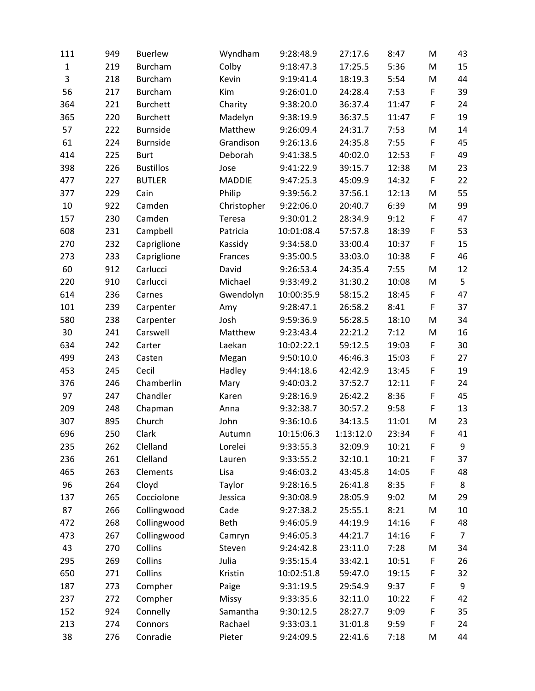| 111         | 949 | <b>Buerlew</b>   | Wyndham       | 9:28:48.9  | 27:17.6   | 8:47  | M           | 43             |
|-------------|-----|------------------|---------------|------------|-----------|-------|-------------|----------------|
| $\mathbf 1$ | 219 | <b>Burcham</b>   | Colby         | 9:18:47.3  | 17:25.5   | 5:36  | M           | 15             |
| 3           | 218 | <b>Burcham</b>   | Kevin         | 9:19:41.4  | 18:19.3   | 5:54  | M           | 44             |
| 56          | 217 | <b>Burcham</b>   | Kim           | 9:26:01.0  | 24:28.4   | 7:53  | F           | 39             |
| 364         | 221 | <b>Burchett</b>  | Charity       | 9:38:20.0  | 36:37.4   | 11:47 | F           | 24             |
| 365         | 220 | <b>Burchett</b>  | Madelyn       | 9:38:19.9  | 36:37.5   | 11:47 | $\mathsf F$ | 19             |
| 57          | 222 | <b>Burnside</b>  | Matthew       | 9:26:09.4  | 24:31.7   | 7:53  | M           | 14             |
| 61          | 224 | <b>Burnside</b>  | Grandison     | 9:26:13.6  | 24:35.8   | 7:55  | F           | 45             |
| 414         | 225 | <b>Burt</b>      | Deborah       | 9:41:38.5  | 40:02.0   | 12:53 | F           | 49             |
| 398         | 226 | <b>Bustillos</b> | Jose          | 9:41:22.9  | 39:15.7   | 12:38 | M           | 23             |
| 477         | 227 | <b>BUTLER</b>    | <b>MADDIE</b> | 9:47:25.3  | 45:09.9   | 14:32 | F           | 22             |
| 377         | 229 | Cain             | Philip        | 9:39:56.2  | 37:56.1   | 12:13 | M           | 55             |
| 10          | 922 | Camden           | Christopher   | 9:22:06.0  | 20:40.7   | 6:39  | M           | 99             |
| 157         | 230 | Camden           | Teresa        | 9:30:01.2  | 28:34.9   | 9:12  | F           | 47             |
| 608         | 231 | Campbell         | Patricia      | 10:01:08.4 | 57:57.8   | 18:39 | F           | 53             |
| 270         | 232 | Capriglione      | Kassidy       | 9:34:58.0  | 33:00.4   | 10:37 | F           | 15             |
| 273         | 233 | Capriglione      | Frances       | 9:35:00.5  | 33:03.0   | 10:38 | F           | 46             |
| 60          | 912 | Carlucci         | David         | 9:26:53.4  | 24:35.4   | 7:55  | M           | 12             |
| 220         | 910 | Carlucci         | Michael       | 9:33:49.2  | 31:30.2   | 10:08 | M           | 5              |
| 614         | 236 | Carnes           | Gwendolyn     | 10:00:35.9 | 58:15.2   | 18:45 | F           | 47             |
| 101         | 239 | Carpenter        | Amy           | 9:28:47.1  | 26:58.2   | 8:41  | F           | 37             |
| 580         | 238 | Carpenter        | Josh          | 9:59:36.9  | 56:28.5   | 18:10 | M           | 34             |
| 30          | 241 | Carswell         | Matthew       | 9:23:43.4  | 22:21.2   | 7:12  | M           | 16             |
| 634         | 242 | Carter           | Laekan        | 10:02:22.1 | 59:12.5   | 19:03 | F           | 30             |
| 499         | 243 | Casten           | Megan         | 9:50:10.0  | 46:46.3   | 15:03 | F           | 27             |
| 453         | 245 | Cecil            | Hadley        | 9:44:18.6  | 42:42.9   | 13:45 | F           | 19             |
| 376         | 246 | Chamberlin       | Mary          | 9:40:03.2  | 37:52.7   | 12:11 | $\mathsf F$ | 24             |
| 97          | 247 | Chandler         | Karen         | 9:28:16.9  | 26:42.2   | 8:36  | F           | 45             |
| 209         | 248 | Chapman          | Anna          | 9:32:38.7  | 30:57.2   | 9:58  | $\mathsf F$ | 13             |
| 307         | 895 | Church           | John          | 9:36:10.6  | 34:13.5   | 11:01 | M           | 23             |
| 696         | 250 | Clark            | Autumn        | 10:15:06.3 | 1:13:12.0 | 23:34 | F           | 41             |
| 235         | 262 | Clelland         | Lorelei       | 9:33:55.3  | 32:09.9   | 10:21 | F           | 9              |
| 236         | 261 | Clelland         | Lauren        | 9:33:55.2  | 32:10.1   | 10:21 | F           | 37             |
| 465         | 263 | Clements         | Lisa          | 9:46:03.2  | 43:45.8   | 14:05 | F           | 48             |
| 96          | 264 | Cloyd            | Taylor        | 9:28:16.5  | 26:41.8   | 8:35  | F           | 8              |
| 137         | 265 | Cocciolone       | Jessica       | 9:30:08.9  | 28:05.9   | 9:02  | M           | 29             |
| 87          | 266 | Collingwood      | Cade          | 9:27:38.2  | 25:55.1   | 8:21  | M           | 10             |
| 472         | 268 | Collingwood      | <b>Beth</b>   | 9:46:05.9  | 44:19.9   | 14:16 | F           | 48             |
| 473         | 267 | Collingwood      | Camryn        | 9:46:05.3  | 44:21.7   | 14:16 | F           | $\overline{7}$ |
| 43          | 270 | Collins          | Steven        | 9:24:42.8  | 23:11.0   | 7:28  | M           | 34             |
| 295         | 269 | Collins          | Julia         | 9:35:15.4  | 33:42.1   | 10:51 | F           | 26             |
| 650         | 271 | Collins          | Kristin       | 10:02:51.8 | 59:47.0   | 19:15 | F           | 32             |
| 187         | 273 | Compher          | Paige         | 9:31:19.5  | 29:54.9   | 9:37  | F           | 9              |
| 237         | 272 | Compher          | Missy         | 9:33:35.6  | 32:11.0   | 10:22 | F           | 42             |
| 152         | 924 | Connelly         | Samantha      | 9:30:12.5  | 28:27.7   | 9:09  | F           | 35             |
| 213         | 274 | Connors          | Rachael       | 9:33:03.1  | 31:01.8   | 9:59  | F           | 24             |
| 38          | 276 | Conradie         | Pieter        | 9:24:09.5  | 22:41.6   | 7:18  | M           | 44             |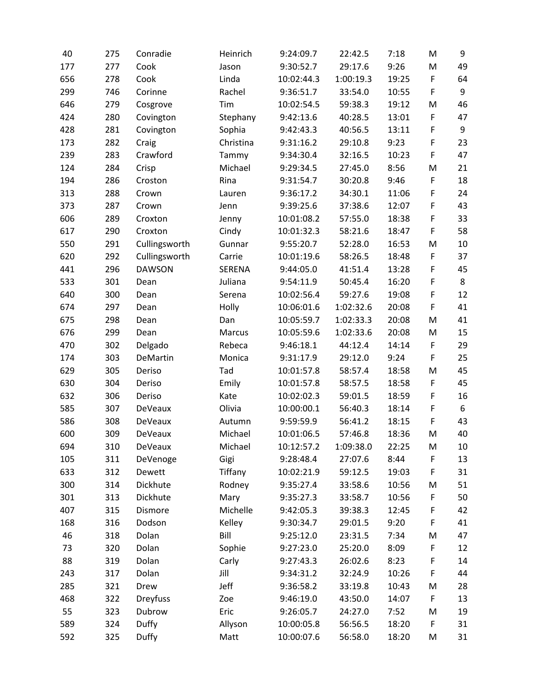| 40  | 275 | Conradie        | Heinrich      | 9:24:09.7  | 22:42.5   | 7:18  | M           | 9  |
|-----|-----|-----------------|---------------|------------|-----------|-------|-------------|----|
| 177 | 277 | Cook            | Jason         | 9:30:52.7  | 29:17.6   | 9:26  | M           | 49 |
| 656 | 278 | Cook            | Linda         | 10:02:44.3 | 1:00:19.3 | 19:25 | F           | 64 |
| 299 | 746 | Corinne         | Rachel        | 9:36:51.7  | 33:54.0   | 10:55 | F           | 9  |
| 646 | 279 | Cosgrove        | Tim           | 10:02:54.5 | 59:38.3   | 19:12 | M           | 46 |
| 424 | 280 | Covington       | Stephany      | 9:42:13.6  | 40:28.5   | 13:01 | F           | 47 |
| 428 | 281 | Covington       | Sophia        | 9:42:43.3  | 40:56.5   | 13:11 | F           | 9  |
| 173 | 282 | Craig           | Christina     | 9:31:16.2  | 29:10.8   | 9:23  | F           | 23 |
| 239 | 283 | Crawford        | Tammy         | 9:34:30.4  | 32:16.5   | 10:23 | F           | 47 |
| 124 | 284 | Crisp           | Michael       | 9:29:34.5  | 27:45.0   | 8:56  | M           | 21 |
| 194 | 286 | Croston         | Rina          | 9:31:54.7  | 30:20.8   | 9:46  | F           | 18 |
| 313 | 288 | Crown           | Lauren        | 9:36:17.2  | 34:30.1   | 11:06 | F           | 24 |
| 373 | 287 | Crown           | Jenn          | 9:39:25.6  | 37:38.6   | 12:07 | F           | 43 |
| 606 | 289 | Croxton         | Jenny         | 10:01:08.2 | 57:55.0   | 18:38 | F           | 33 |
| 617 | 290 | Croxton         | Cindy         | 10:01:32.3 | 58:21.6   | 18:47 | $\mathsf F$ | 58 |
| 550 | 291 | Cullingsworth   | Gunnar        | 9:55:20.7  | 52:28.0   | 16:53 | M           | 10 |
| 620 | 292 | Cullingsworth   | Carrie        | 10:01:19.6 | 58:26.5   | 18:48 | F           | 37 |
| 441 | 296 | <b>DAWSON</b>   | <b>SERENA</b> | 9:44:05.0  | 41:51.4   | 13:28 | F           | 45 |
| 533 | 301 | Dean            | Juliana       | 9:54:11.9  | 50:45.4   | 16:20 | F           | 8  |
| 640 | 300 | Dean            | Serena        | 10:02:56.4 | 59:27.6   | 19:08 | F           | 12 |
| 674 | 297 | Dean            | Holly         | 10:06:01.6 | 1:02:32.6 | 20:08 | F           | 41 |
| 675 | 298 | Dean            | Dan           | 10:05:59.7 | 1:02:33.3 | 20:08 | M           | 41 |
| 676 | 299 | Dean            | Marcus        | 10:05:59.6 | 1:02:33.6 | 20:08 | M           | 15 |
| 470 | 302 | Delgado         | Rebeca        | 9:46:18.1  | 44:12.4   | 14:14 | F           | 29 |
| 174 | 303 | DeMartin        | Monica        | 9:31:17.9  | 29:12.0   | 9:24  | F           | 25 |
| 629 | 305 | Deriso          | Tad           | 10:01:57.8 | 58:57.4   | 18:58 | M           | 45 |
| 630 | 304 | Deriso          | Emily         | 10:01:57.8 | 58:57.5   | 18:58 | $\mathsf F$ | 45 |
| 632 | 306 | Deriso          | Kate          | 10:02:02.3 | 59:01.5   | 18:59 | F           | 16 |
| 585 | 307 | DeVeaux         | Olivia        | 10:00:00.1 | 56:40.3   | 18:14 | F           | 6  |
| 586 | 308 | <b>DeVeaux</b>  | Autumn        | 9:59:59.9  | 56:41.2   | 18:15 | F           | 43 |
| 600 | 309 | <b>DeVeaux</b>  | Michael       | 10:01:06.5 | 57:46.8   | 18:36 | M           | 40 |
| 694 | 310 | DeVeaux         | Michael       | 10:12:57.2 | 1:09:38.0 | 22:25 | M           | 10 |
| 105 | 311 | DeVenoge        | Gigi          | 9:28:48.4  | 27:07.6   | 8:44  | F           | 13 |
| 633 | 312 | Dewett          | Tiffany       | 10:02:21.9 | 59:12.5   | 19:03 | F           | 31 |
| 300 | 314 | Dickhute        | Rodney        | 9:35:27.4  | 33:58.6   | 10:56 | M           | 51 |
| 301 | 313 | Dickhute        | Mary          | 9:35:27.3  | 33:58.7   | 10:56 | $\mathsf F$ | 50 |
| 407 | 315 | Dismore         | Michelle      | 9:42:05.3  | 39:38.3   | 12:45 | F           | 42 |
| 168 | 316 | Dodson          | Kelley        | 9:30:34.7  | 29:01.5   | 9:20  | F           | 41 |
| 46  | 318 | Dolan           | Bill          | 9:25:12.0  | 23:31.5   | 7:34  | M           | 47 |
| 73  | 320 | Dolan           | Sophie        | 9:27:23.0  | 25:20.0   | 8:09  | F           | 12 |
| 88  | 319 | Dolan           | Carly         | 9:27:43.3  | 26:02.6   | 8:23  | F           | 14 |
| 243 | 317 | Dolan           | Jill          | 9:34:31.2  | 32:24.9   | 10:26 | F           | 44 |
| 285 | 321 | Drew            | Jeff          | 9:36:58.2  | 33:19.8   | 10:43 | M           | 28 |
| 468 | 322 | <b>Dreyfuss</b> | Zoe           | 9:46:19.0  | 43:50.0   | 14:07 | F           | 13 |
| 55  | 323 | Dubrow          | Eric          | 9:26:05.7  | 24:27.0   | 7:52  | M           | 19 |
| 589 | 324 | <b>Duffy</b>    | Allyson       | 10:00:05.8 | 56:56.5   | 18:20 | F           | 31 |
| 592 | 325 | Duffy           | Matt          | 10:00:07.6 | 56:58.0   | 18:20 | М           | 31 |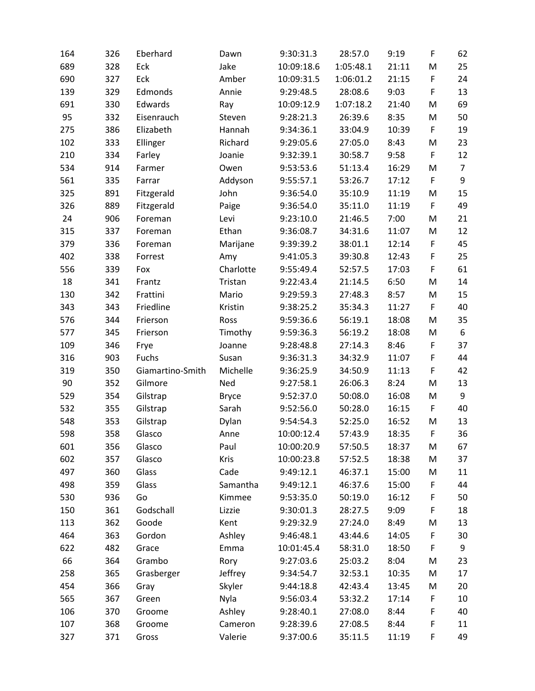| 164 | 326 | Eberhard         | Dawn         | 9:30:31.3  | 28:57.0   | 9:19  | F           | 62             |
|-----|-----|------------------|--------------|------------|-----------|-------|-------------|----------------|
| 689 | 328 | Eck              | Jake         | 10:09:18.6 | 1:05:48.1 | 21:11 | M           | 25             |
| 690 | 327 | Eck              | Amber        | 10:09:31.5 | 1:06:01.2 | 21:15 | F           | 24             |
| 139 | 329 | Edmonds          | Annie        | 9:29:48.5  | 28:08.6   | 9:03  | F           | 13             |
| 691 | 330 | Edwards          | Ray          | 10:09:12.9 | 1:07:18.2 | 21:40 | M           | 69             |
| 95  | 332 | Eisenrauch       | Steven       | 9:28:21.3  | 26:39.6   | 8:35  | M           | 50             |
| 275 | 386 | Elizabeth        | Hannah       | 9:34:36.1  | 33:04.9   | 10:39 | F           | 19             |
| 102 | 333 | Ellinger         | Richard      | 9:29:05.6  | 27:05.0   | 8:43  | M           | 23             |
| 210 | 334 | Farley           | Joanie       | 9:32:39.1  | 30:58.7   | 9:58  | F           | 12             |
| 534 | 914 | Farmer           | Owen         | 9:53:53.6  | 51:13.4   | 16:29 | M           | $\overline{7}$ |
| 561 | 335 | Farrar           | Addyson      | 9:55:57.1  | 53:26.7   | 17:12 | F           | 9              |
| 325 | 891 | Fitzgerald       | John         | 9:36:54.0  | 35:10.9   | 11:19 | M           | 15             |
| 326 | 889 | Fitzgerald       | Paige        | 9:36:54.0  | 35:11.0   | 11:19 | F           | 49             |
| 24  | 906 | Foreman          | Levi         | 9:23:10.0  | 21:46.5   | 7:00  | M           | 21             |
| 315 | 337 | Foreman          | Ethan        | 9:36:08.7  | 34:31.6   | 11:07 | M           | 12             |
| 379 | 336 | Foreman          | Marijane     | 9:39:39.2  | 38:01.1   | 12:14 | F           | 45             |
| 402 | 338 | Forrest          | Amy          | 9:41:05.3  | 39:30.8   | 12:43 | F           | 25             |
| 556 | 339 | Fox              | Charlotte    | 9:55:49.4  | 52:57.5   | 17:03 | F           | 61             |
| 18  | 341 | Frantz           | Tristan      | 9:22:43.4  | 21:14.5   | 6:50  | M           | 14             |
| 130 | 342 | Frattini         | Mario        | 9:29:59.3  | 27:48.3   | 8:57  | M           | 15             |
| 343 | 343 | Friedline        | Kristin      | 9:38:25.2  | 35:34.3   | 11:27 | F           | 40             |
| 576 | 344 | Frierson         | Ross         | 9:59:36.6  | 56:19.1   | 18:08 | M           | 35             |
| 577 | 345 | Frierson         | Timothy      | 9:59:36.3  | 56:19.2   | 18:08 | M           | 6              |
| 109 | 346 | Frye             | Joanne       | 9:28:48.8  | 27:14.3   | 8:46  | F           | 37             |
| 316 | 903 | Fuchs            | Susan        | 9:36:31.3  | 34:32.9   | 11:07 | F           | 44             |
| 319 | 350 | Giamartino-Smith | Michelle     | 9:36:25.9  | 34:50.9   | 11:13 | F           | 42             |
| 90  | 352 | Gilmore          | Ned          | 9:27:58.1  | 26:06.3   | 8:24  | M           | 13             |
| 529 | 354 | Gilstrap         | <b>Bryce</b> | 9:52:37.0  | 50:08.0   | 16:08 | M           | 9              |
| 532 | 355 | Gilstrap         | Sarah        | 9:52:56.0  | 50:28.0   | 16:15 | $\mathsf F$ | 40             |
| 548 | 353 | Gilstrap         | Dylan        | 9:54:54.3  | 52:25.0   | 16:52 | M           | 13             |
| 598 | 358 | Glasco           | Anne         | 10:00:12.4 | 57:43.9   | 18:35 | F           | 36             |
| 601 | 356 | Glasco           | Paul         | 10:00:20.9 | 57:50.5   | 18:37 | M           | 67             |
| 602 | 357 | Glasco           | <b>Kris</b>  | 10:00:23.8 | 57:52.5   | 18:38 | M           | 37             |
| 497 | 360 | Glass            | Cade         | 9:49:12.1  | 46:37.1   | 15:00 | M           | 11             |
| 498 | 359 | Glass            | Samantha     | 9:49:12.1  | 46:37.6   | 15:00 | F           | 44             |
| 530 | 936 | Go               | Kimmee       | 9:53:35.0  | 50:19.0   | 16:12 | F           | 50             |
| 150 | 361 | Godschall        | Lizzie       | 9:30:01.3  | 28:27.5   | 9:09  | F           | 18             |
| 113 | 362 | Goode            | Kent         | 9:29:32.9  | 27:24.0   | 8:49  | M           | 13             |
| 464 | 363 | Gordon           | Ashley       | 9:46:48.1  | 43:44.6   | 14:05 | F           | 30             |
| 622 | 482 | Grace            | Emma         | 10:01:45.4 | 58:31.0   | 18:50 | F           | 9              |
| 66  | 364 | Grambo           | Rory         | 9:27:03.6  | 25:03.2   | 8:04  | M           | 23             |
| 258 | 365 | Grasberger       | Jeffrey      | 9:34:54.7  | 32:53.1   | 10:35 | M           | 17             |
| 454 | 366 | Gray             | Skyler       | 9:44:18.8  | 42:43.4   | 13:45 | M           | 20             |
| 565 | 367 | Green            | Nyla         | 9:56:03.4  | 53:32.2   | 17:14 | F           | 10             |
| 106 | 370 | Groome           | Ashley       | 9:28:40.1  | 27:08.0   | 8:44  | F           | 40             |
| 107 | 368 | Groome           | Cameron      | 9:28:39.6  | 27:08.5   | 8:44  | F           | 11             |
| 327 | 371 | Gross            | Valerie      | 9:37:00.6  | 35:11.5   | 11:19 | F           | 49             |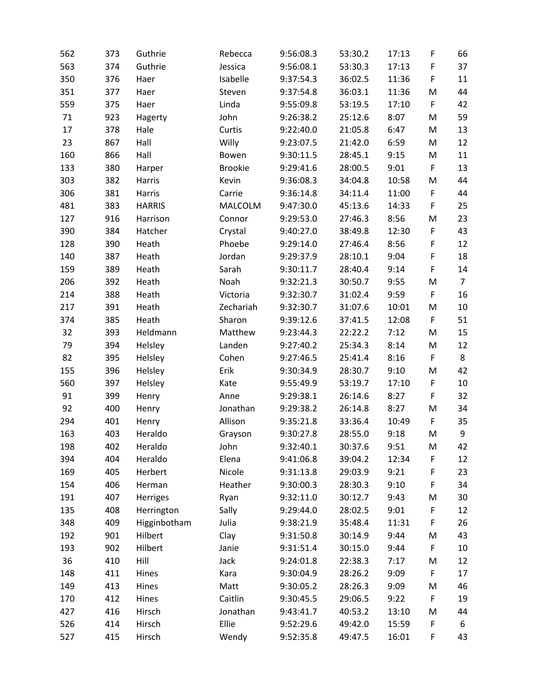| 562 | 373 | Guthrie       | Rebecca        | 9:56:08.3 | 53:30.2 | 17:13 | F           | 66             |
|-----|-----|---------------|----------------|-----------|---------|-------|-------------|----------------|
| 563 | 374 | Guthrie       | Jessica        | 9:56:08.1 | 53:30.3 | 17:13 | F           | 37             |
| 350 | 376 | Haer          | Isabelle       | 9:37:54.3 | 36:02.5 | 11:36 | F           | 11             |
| 351 | 377 | Haer          | Steven         | 9:37:54.8 | 36:03.1 | 11:36 | M           | 44             |
| 559 | 375 | Haer          | Linda          | 9:55:09.8 | 53:19.5 | 17:10 | F           | 42             |
| 71  | 923 | Hagerty       | John           | 9:26:38.2 | 25:12.6 | 8:07  | M           | 59             |
| 17  | 378 | Hale          | Curtis         | 9:22:40.0 | 21:05.8 | 6:47  | M           | 13             |
| 23  | 867 | Hall          | Willy          | 9:23:07.5 | 21:42.0 | 6:59  | M           | 12             |
| 160 | 866 | Hall          | Bowen          | 9:30:11.5 | 28:45.1 | 9:15  | M           | 11             |
| 133 | 380 | Harper        | <b>Brookie</b> | 9:29:41.6 | 28:00.5 | 9:01  | F           | 13             |
| 303 | 382 | Harris        | Kevin          | 9:36:08.3 | 34:04.8 | 10:58 | M           | 44             |
| 306 | 381 | Harris        | Carrie         | 9:36:14.8 | 34:11.4 | 11:00 | F           | 44             |
| 481 | 383 | <b>HARRIS</b> | MALCOLM        | 9:47:30.0 | 45:13.6 | 14:33 | F           | 25             |
| 127 | 916 | Harrison      | Connor         | 9:29:53.0 | 27:46.3 | 8:56  | M           | 23             |
| 390 | 384 | Hatcher       | Crystal        | 9:40:27.0 | 38:49.8 | 12:30 | $\mathsf F$ | 43             |
| 128 | 390 | Heath         | Phoebe         | 9:29:14.0 | 27:46.4 | 8:56  | $\mathsf F$ | 12             |
| 140 | 387 | Heath         | Jordan         | 9:29:37.9 | 28:10.1 | 9:04  | F           | 18             |
| 159 | 389 | Heath         | Sarah          | 9:30:11.7 | 28:40.4 | 9:14  | F           | 14             |
| 206 | 392 | Heath         | Noah           | 9:32:21.3 | 30:50.7 | 9:55  | M           | $\overline{7}$ |
| 214 | 388 | Heath         | Victoria       | 9:32:30.7 | 31:02.4 | 9:59  | F           | 16             |
| 217 | 391 | Heath         | Zechariah      | 9:32:30.7 | 31:07.6 | 10:01 | M           | 10             |
| 374 | 385 | Heath         | Sharon         | 9:39:12.6 | 37:41.5 | 12:08 | F           | 51             |
| 32  | 393 | Heldmann      | Matthew        | 9:23:44.3 | 22:22.2 | 7:12  | M           | 15             |
| 79  | 394 | Helsley       | Landen         | 9:27:40.2 | 25:34.3 | 8:14  | M           | 12             |
| 82  | 395 | Helsley       | Cohen          | 9:27:46.5 | 25:41.4 | 8:16  | F           | 8              |
| 155 | 396 | Helsley       | Erik           | 9:30:34.9 | 28:30.7 | 9:10  | M           | 42             |
| 560 | 397 | Helsley       | Kate           | 9:55:49.9 | 53:19.7 | 17:10 | $\mathsf F$ | 10             |
| 91  | 399 | Henry         | Anne           | 9:29:38.1 | 26:14.6 | 8:27  | F           | 32             |
| 92  | 400 | Henry         | Jonathan       | 9:29:38.2 | 26:14.8 | 8:27  | M           | 34             |
| 294 | 401 | Henry         | Allison        | 9:35:21.8 | 33:36.4 | 10:49 | F           | 35             |
| 163 | 403 | Heraldo       | Grayson        | 9:30:27.8 | 28:55.0 | 9:18  | M           | 9              |
| 198 | 402 | Heraldo       | John           | 9:32:40.1 | 30:37.6 | 9:51  | M           | 42             |
| 394 | 404 | Heraldo       | Elena          | 9:41:06.8 | 39:04.2 | 12:34 | F           | 12             |
| 169 | 405 | Herbert       | Nicole         | 9:31:13.8 | 29:03.9 | 9:21  | $\mathsf F$ | 23             |
| 154 | 406 | Herman        | Heather        | 9:30:00.3 | 28:30.3 | 9:10  | $\mathsf F$ | 34             |
| 191 | 407 | Herriges      | Ryan           | 9:32:11.0 | 30:12.7 | 9:43  | M           | 30             |
| 135 | 408 | Herrington    | Sally          | 9:29:44.0 | 28:02.5 | 9:01  | $\mathsf F$ | 12             |
| 348 | 409 | Higginbotham  | Julia          | 9:38:21.9 | 35:48.4 | 11:31 | F           | 26             |
| 192 | 901 | Hilbert       | Clay           | 9:31:50.8 | 30:14.9 | 9:44  | M           | 43             |
| 193 | 902 | Hilbert       | Janie          | 9:31:51.4 | 30:15.0 | 9:44  | F           | 10             |
| 36  | 410 | Hill          | Jack           | 9:24:01.8 | 22:38.3 | 7:17  | M           | 12             |
| 148 | 411 | Hines         | Kara           | 9:30:04.9 | 28:26.2 | 9:09  | F           | 17             |
| 149 | 413 | Hines         | Matt           | 9:30:05.2 | 28:26.3 | 9:09  | M           | 46             |
| 170 | 412 | Hines         | Caitlin        | 9:30:45.5 | 29:06.5 | 9:22  | $\mathsf F$ | 19             |
| 427 | 416 | Hirsch        | Jonathan       | 9:43:41.7 | 40:53.2 | 13:10 | M           | 44             |
| 526 | 414 | Hirsch        | Ellie          | 9:52:29.6 | 49:42.0 | 15:59 | F           | 6              |
| 527 | 415 | Hirsch        | Wendy          | 9:52:35.8 | 49:47.5 | 16:01 | F           | 43             |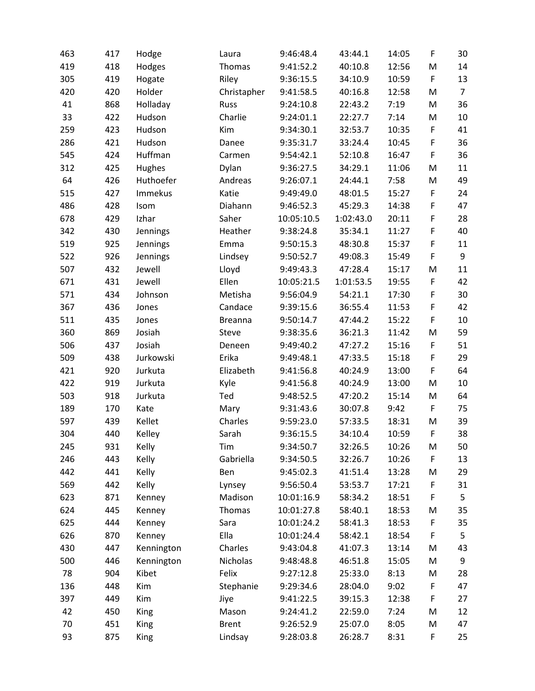| 463 | 417 | Hodge       | Laura          | 9:46:48.4  | 43:44.1   | 14:05 | $\mathsf F$ | 30             |
|-----|-----|-------------|----------------|------------|-----------|-------|-------------|----------------|
| 419 | 418 | Hodges      | Thomas         | 9:41:52.2  | 40:10.8   | 12:56 | M           | 14             |
| 305 | 419 | Hogate      | Riley          | 9:36:15.5  | 34:10.9   | 10:59 | F           | 13             |
| 420 | 420 | Holder      | Christapher    | 9:41:58.5  | 40:16.8   | 12:58 | M           | $\overline{7}$ |
| 41  | 868 | Holladay    | Russ           | 9:24:10.8  | 22:43.2   | 7:19  | M           | 36             |
| 33  | 422 | Hudson      | Charlie        | 9:24:01.1  | 22:27.7   | 7:14  | M           | 10             |
| 259 | 423 | Hudson      | Kim            | 9:34:30.1  | 32:53.7   | 10:35 | F           | 41             |
| 286 | 421 | Hudson      | Danee          | 9:35:31.7  | 33:24.4   | 10:45 | F           | 36             |
| 545 | 424 | Huffman     | Carmen         | 9:54:42.1  | 52:10.8   | 16:47 | F           | 36             |
| 312 | 425 | Hughes      | Dylan          | 9:36:27.5  | 34:29.1   | 11:06 | M           | 11             |
| 64  | 426 | Huthoefer   | Andreas        | 9:26:07.1  | 24:44.1   | 7:58  | M           | 49             |
| 515 | 427 | Immekus     | Katie          | 9:49:49.0  | 48:01.5   | 15:27 | F           | 24             |
| 486 | 428 | Isom        | Diahann        | 9:46:52.3  | 45:29.3   | 14:38 | F           | 47             |
| 678 | 429 | Izhar       | Saher          | 10:05:10.5 | 1:02:43.0 | 20:11 | F           | 28             |
| 342 | 430 | Jennings    | Heather        | 9:38:24.8  | 35:34.1   | 11:27 | F           | 40             |
| 519 | 925 | Jennings    | Emma           | 9:50:15.3  | 48:30.8   | 15:37 | F           | 11             |
| 522 | 926 | Jennings    | Lindsey        | 9:50:52.7  | 49:08.3   | 15:49 | F           | 9              |
| 507 | 432 | Jewell      | Lloyd          | 9:49:43.3  | 47:28.4   | 15:17 | M           | 11             |
| 671 | 431 | Jewell      | Ellen          | 10:05:21.5 | 1:01:53.5 | 19:55 | F           | 42             |
| 571 | 434 | Johnson     | Metisha        | 9:56:04.9  | 54:21.1   | 17:30 | F           | 30             |
| 367 | 436 | Jones       | Candace        | 9:39:15.6  | 36:55.4   | 11:53 | F           | 42             |
| 511 | 435 | Jones       | <b>Breanna</b> | 9:50:14.7  | 47:44.2   | 15:22 | $\mathsf F$ | 10             |
| 360 | 869 | Josiah      | <b>Steve</b>   | 9:38:35.6  | 36:21.3   | 11:42 | M           | 59             |
| 506 | 437 | Josiah      | Deneen         | 9:49:40.2  | 47:27.2   | 15:16 | $\mathsf F$ | 51             |
| 509 | 438 | Jurkowski   | Erika          | 9:49:48.1  | 47:33.5   | 15:18 | $\mathsf F$ | 29             |
| 421 | 920 | Jurkuta     | Elizabeth      | 9:41:56.8  | 40:24.9   | 13:00 | F           | 64             |
| 422 | 919 | Jurkuta     | Kyle           | 9:41:56.8  | 40:24.9   | 13:00 | M           | 10             |
| 503 | 918 | Jurkuta     | Ted            | 9:48:52.5  | 47:20.2   | 15:14 | M           | 64             |
| 189 | 170 | Kate        | Mary           | 9:31:43.6  | 30:07.8   | 9:42  | F           | 75             |
| 597 | 439 | Kellet      | Charles        | 9:59:23.0  | 57:33.5   | 18:31 | M           | 39             |
| 304 | 440 | Kelley      | Sarah          | 9:36:15.5  | 34:10.4   | 10:59 | F           | 38             |
| 245 | 931 | Kelly       | Tim            | 9:34:50.7  | 32:26.5   | 10:26 | M           | 50             |
| 246 | 443 | Kelly       | Gabriella      | 9:34:50.5  | 32:26.7   | 10:26 | F           | 13             |
| 442 | 441 | Kelly       | Ben            | 9:45:02.3  | 41:51.4   | 13:28 | M           | 29             |
| 569 | 442 | Kelly       | Lynsey         | 9:56:50.4  | 53:53.7   | 17:21 | F           | 31             |
| 623 | 871 | Kenney      | Madison        | 10:01:16.9 | 58:34.2   | 18:51 | $\mathsf F$ | 5              |
| 624 | 445 | Kenney      | Thomas         | 10:01:27.8 | 58:40.1   | 18:53 | M           | 35             |
| 625 | 444 | Kenney      | Sara           | 10:01:24.2 | 58:41.3   | 18:53 | F           | 35             |
| 626 | 870 | Kenney      | Ella           | 10:01:24.4 | 58:42.1   | 18:54 | F           | 5              |
| 430 | 447 | Kennington  | Charles        | 9:43:04.8  | 41:07.3   | 13:14 | M           | 43             |
| 500 | 446 | Kennington  | Nicholas       | 9:48:48.8  | 46:51.8   | 15:05 | M           | 9              |
| 78  | 904 | Kibet       | Felix          | 9:27:12.8  | 25:33.0   | 8:13  | M           | 28             |
| 136 | 448 | Kim         | Stephanie      | 9:29:34.6  | 28:04.0   | 9:02  | $\mathsf F$ | 47             |
| 397 | 449 | Kim         | Jiye           | 9:41:22.5  | 39:15.3   | 12:38 | F           | 27             |
| 42  | 450 | <b>King</b> | Mason          | 9:24:41.2  | 22:59.0   | 7:24  | M           | 12             |
| 70  | 451 | King        | <b>Brent</b>   | 9:26:52.9  | 25:07.0   | 8:05  | M           | 47             |
| 93  | 875 | King        | Lindsay        | 9:28:03.8  | 26:28.7   | 8:31  | F           | 25             |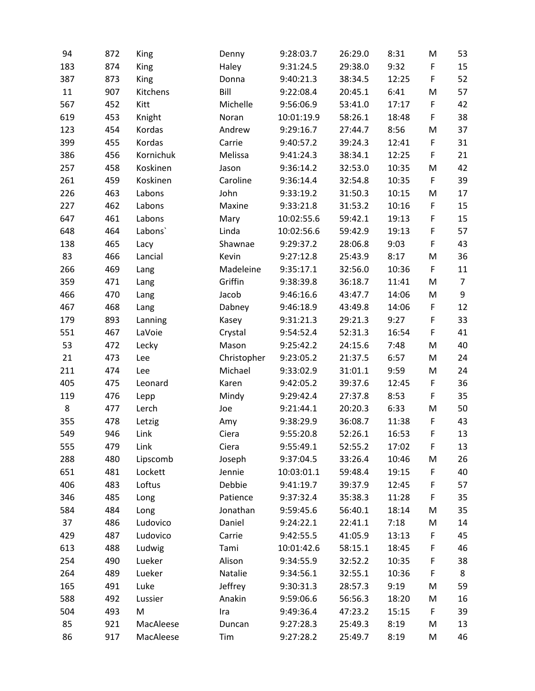| 94  | 872 | King      | Denny       | 9:28:03.7  | 26:29.0 | 8:31  | M           | 53             |
|-----|-----|-----------|-------------|------------|---------|-------|-------------|----------------|
| 183 | 874 | King      | Haley       | 9:31:24.5  | 29:38.0 | 9:32  | F           | 15             |
| 387 | 873 | King      | Donna       | 9:40:21.3  | 38:34.5 | 12:25 | F           | 52             |
| 11  | 907 | Kitchens  | Bill        | 9:22:08.4  | 20:45.1 | 6:41  | M           | 57             |
| 567 | 452 | Kitt      | Michelle    | 9:56:06.9  | 53:41.0 | 17:17 | F           | 42             |
| 619 | 453 | Knight    | Noran       | 10:01:19.9 | 58:26.1 | 18:48 | F           | 38             |
| 123 | 454 | Kordas    | Andrew      | 9:29:16.7  | 27:44.7 | 8:56  | M           | 37             |
| 399 | 455 | Kordas    | Carrie      | 9:40:57.2  | 39:24.3 | 12:41 | F           | 31             |
| 386 | 456 | Kornichuk | Melissa     | 9:41:24.3  | 38:34.1 | 12:25 | F           | 21             |
| 257 | 458 | Koskinen  | Jason       | 9:36:14.2  | 32:53.0 | 10:35 | M           | 42             |
| 261 | 459 | Koskinen  | Caroline    | 9:36:14.4  | 32:54.8 | 10:35 | F           | 39             |
| 226 | 463 | Labons    | John        | 9:33:19.2  | 31:50.3 | 10:15 | M           | 17             |
| 227 | 462 | Labons    | Maxine      | 9:33:21.8  | 31:53.2 | 10:16 | F           | 15             |
| 647 | 461 | Labons    | Mary        | 10:02:55.6 | 59:42.1 | 19:13 | F           | 15             |
| 648 | 464 | Labons`   | Linda       | 10:02:56.6 | 59:42.9 | 19:13 | F           | 57             |
| 138 | 465 | Lacy      | Shawnae     | 9:29:37.2  | 28:06.8 | 9:03  | F           | 43             |
| 83  | 466 | Lancial   | Kevin       | 9:27:12.8  | 25:43.9 | 8:17  | M           | 36             |
| 266 | 469 | Lang      | Madeleine   | 9:35:17.1  | 32:56.0 | 10:36 | F           | 11             |
| 359 | 471 | Lang      | Griffin     | 9:38:39.8  | 36:18.7 | 11:41 | M           | $\overline{7}$ |
| 466 | 470 | Lang      | Jacob       | 9:46:16.6  | 43:47.7 | 14:06 | M           | 9              |
| 467 | 468 | Lang      | Dabney      | 9:46:18.9  | 43:49.8 | 14:06 | F           | 12             |
| 179 | 893 | Lanning   | Kasey       | 9:31:21.3  | 29:21.3 | 9:27  | F           | 33             |
| 551 | 467 | LaVoie    | Crystal     | 9:54:52.4  | 52:31.3 | 16:54 | F           | 41             |
| 53  | 472 | Lecky     | Mason       | 9:25:42.2  | 24:15.6 | 7:48  | M           | 40             |
| 21  | 473 | Lee       | Christopher | 9:23:05.2  | 21:37.5 | 6:57  | M           | 24             |
| 211 | 474 | Lee       | Michael     | 9:33:02.9  | 31:01.1 | 9:59  | M           | 24             |
| 405 | 475 | Leonard   | Karen       | 9:42:05.2  | 39:37.6 | 12:45 | $\mathsf F$ | 36             |
| 119 | 476 | Lepp      | Mindy       | 9:29:42.4  | 27:37.8 | 8:53  | F           | 35             |
| 8   | 477 | Lerch     | Joe         | 9:21:44.1  | 20:20.3 | 6:33  | M           | 50             |
| 355 | 478 | Letzig    | Amy         | 9:38:29.9  | 36:08.7 | 11:38 | F           | 43             |
| 549 | 946 | Link      | Ciera       | 9:55:20.8  | 52:26.1 | 16:53 | F           | 13             |
| 555 | 479 | Link      | Ciera       | 9:55:49.1  | 52:55.2 | 17:02 | F           | 13             |
| 288 | 480 | Lipscomb  | Joseph      | 9:37:04.5  | 33:26.4 | 10:46 | M           | 26             |
| 651 | 481 | Lockett   | Jennie      | 10:03:01.1 | 59:48.4 | 19:15 | F           | 40             |
| 406 | 483 | Loftus    | Debbie      | 9:41:19.7  | 39:37.9 | 12:45 | F           | 57             |
| 346 | 485 | Long      | Patience    | 9:37:32.4  | 35:38.3 | 11:28 | F           | 35             |
| 584 | 484 | Long      | Jonathan    | 9:59:45.6  | 56:40.1 | 18:14 | M           | 35             |
| 37  | 486 | Ludovico  | Daniel      | 9:24:22.1  | 22:41.1 | 7:18  | M           | 14             |
| 429 | 487 | Ludovico  | Carrie      | 9:42:55.5  | 41:05.9 | 13:13 | F           | 45             |
| 613 | 488 | Ludwig    | Tami        | 10:01:42.6 | 58:15.1 | 18:45 | F           | 46             |
| 254 | 490 | Lueker    | Alison      | 9:34:55.9  | 32:52.2 | 10:35 | F           | 38             |
| 264 | 489 | Lueker    | Natalie     | 9:34:56.1  | 32:55.1 | 10:36 | F           | 8              |
| 165 | 491 | Luke      | Jeffrey     | 9:30:31.3  | 28:57.3 | 9:19  | M           | 59             |
| 588 | 492 | Lussier   | Anakin      | 9:59:06.6  | 56:56.3 | 18:20 | M           | 16             |
| 504 | 493 | M         | Ira         | 9:49:36.4  | 47:23.2 | 15:15 | F           | 39             |
| 85  | 921 | MacAleese | Duncan      | 9:27:28.3  | 25:49.3 | 8:19  | M           | 13             |
| 86  | 917 | MacAleese | Tim         | 9:27:28.2  | 25:49.7 | 8:19  | M           | 46             |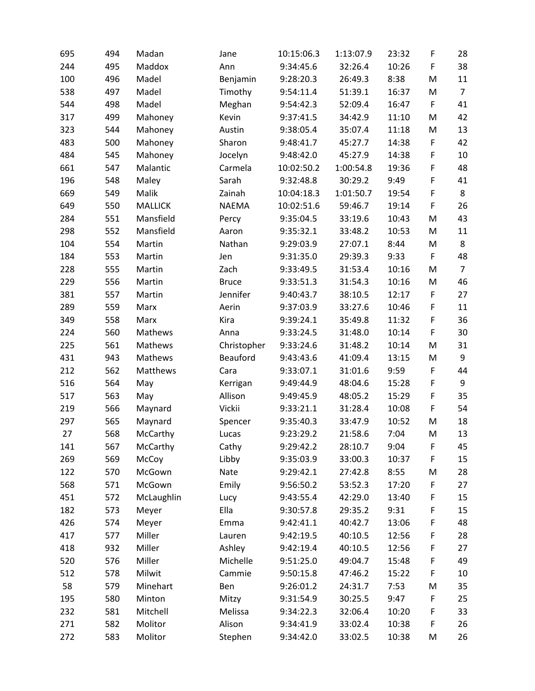| 695 | 494 | Madan          | Jane         | 10:15:06.3 | 1:13:07.9 | 23:32 | F           | 28             |
|-----|-----|----------------|--------------|------------|-----------|-------|-------------|----------------|
| 244 | 495 | Maddox         | Ann          | 9:34:45.6  | 32:26.4   | 10:26 | F           | 38             |
| 100 | 496 | Madel          | Benjamin     | 9:28:20.3  | 26:49.3   | 8:38  | M           | 11             |
| 538 | 497 | Madel          | Timothy      | 9:54:11.4  | 51:39.1   | 16:37 | M           | $\overline{7}$ |
| 544 | 498 | Madel          | Meghan       | 9:54:42.3  | 52:09.4   | 16:47 | F           | 41             |
| 317 | 499 | Mahoney        | Kevin        | 9:37:41.5  | 34:42.9   | 11:10 | M           | 42             |
| 323 | 544 | Mahoney        | Austin       | 9:38:05.4  | 35:07.4   | 11:18 | M           | 13             |
| 483 | 500 | Mahoney        | Sharon       | 9:48:41.7  | 45:27.7   | 14:38 | F           | 42             |
| 484 | 545 | Mahoney        | Jocelyn      | 9:48:42.0  | 45:27.9   | 14:38 | F           | 10             |
| 661 | 547 | Malantic       | Carmela      | 10:02:50.2 | 1:00:54.8 | 19:36 | $\mathsf F$ | 48             |
| 196 | 548 | Maley          | Sarah        | 9:32:48.8  | 30:29.2   | 9:49  | F           | 41             |
| 669 | 549 | Malik          | Zainah       | 10:04:18.3 | 1:01:50.7 | 19:54 | $\mathsf F$ | 8              |
| 649 | 550 | <b>MALLICK</b> | <b>NAEMA</b> | 10:02:51.6 | 59:46.7   | 19:14 | F           | 26             |
| 284 | 551 | Mansfield      | Percy        | 9:35:04.5  | 33:19.6   | 10:43 | M           | 43             |
| 298 | 552 | Mansfield      | Aaron        | 9:35:32.1  | 33:48.2   | 10:53 | M           | 11             |
| 104 | 554 | Martin         | Nathan       | 9:29:03.9  | 27:07.1   | 8:44  | M           | 8              |
| 184 | 553 | Martin         | Jen          | 9:31:35.0  | 29:39.3   | 9:33  | F           | 48             |
| 228 | 555 | Martin         | Zach         | 9:33:49.5  | 31:53.4   | 10:16 | M           | $\overline{7}$ |
| 229 | 556 | Martin         | <b>Bruce</b> | 9:33:51.3  | 31:54.3   | 10:16 | M           | 46             |
| 381 | 557 | Martin         | Jennifer     | 9:40:43.7  | 38:10.5   | 12:17 | F           | 27             |
| 289 | 559 | Marx           | Aerin        | 9:37:03.9  | 33:27.6   | 10:46 | F           | 11             |
| 349 | 558 | Marx           | Kira         | 9:39:24.1  | 35:49.8   | 11:32 | $\mathsf F$ | 36             |
| 224 | 560 | Mathews        | Anna         | 9:33:24.5  | 31:48.0   | 10:14 | F           | 30             |
| 225 | 561 | Mathews        | Christopher  | 9:33:24.6  | 31:48.2   | 10:14 | M           | 31             |
| 431 | 943 | Mathews        | Beauford     | 9:43:43.6  | 41:09.4   | 13:15 | M           | 9              |
| 212 | 562 | Matthews       | Cara         | 9:33:07.1  | 31:01.6   | 9:59  | F           | 44             |
| 516 | 564 | May            | Kerrigan     | 9:49:44.9  | 48:04.6   | 15:28 | $\mathsf F$ | 9              |
| 517 | 563 | May            | Allison      | 9:49:45.9  | 48:05.2   | 15:29 | F           | 35             |
| 219 | 566 | Maynard        | Vickii       | 9:33:21.1  | 31:28.4   | 10:08 | F           | 54             |
| 297 | 565 | Maynard        | Spencer      | 9:35:40.3  | 33:47.9   | 10:52 | M           | 18             |
| 27  | 568 | McCarthy       | Lucas        | 9:23:29.2  | 21:58.6   | 7:04  | M           | 13             |
| 141 | 567 | McCarthy       | Cathy        | 9:29:42.2  | 28:10.7   | 9:04  | F           | 45             |
| 269 | 569 | McCoy          | Libby        | 9:35:03.9  | 33:00.3   | 10:37 | F           | 15             |
| 122 | 570 | McGown         | Nate         | 9:29:42.1  | 27:42.8   | 8:55  | M           | 28             |
| 568 | 571 | McGown         | Emily        | 9:56:50.2  | 53:52.3   | 17:20 | F           | 27             |
| 451 | 572 | McLaughlin     | Lucy         | 9:43:55.4  | 42:29.0   | 13:40 | $\mathsf F$ | 15             |
| 182 | 573 | Meyer          | Ella         | 9:30:57.8  | 29:35.2   | 9:31  | $\mathsf F$ | 15             |
| 426 | 574 | Meyer          | Emma         | 9:42:41.1  | 40:42.7   | 13:06 | F           | 48             |
| 417 | 577 | Miller         | Lauren       | 9:42:19.5  | 40:10.5   | 12:56 | F           | 28             |
| 418 | 932 | Miller         | Ashley       | 9:42:19.4  | 40:10.5   | 12:56 | F           | 27             |
| 520 | 576 | Miller         | Michelle     | 9:51:25.0  | 49:04.7   | 15:48 | $\mathsf F$ | 49             |
| 512 | 578 | Milwit         | Cammie       | 9:50:15.8  | 47:46.2   | 15:22 | F           | 10             |
| 58  | 579 | Minehart       | Ben          | 9:26:01.2  | 24:31.7   | 7:53  | M           | 35             |
| 195 | 580 | Minton         | Mitzy        | 9:31:54.9  | 30:25.5   | 9:47  | F           | 25             |
| 232 | 581 | Mitchell       | Melissa      | 9:34:22.3  | 32:06.4   | 10:20 | F           | 33             |
| 271 | 582 | Molitor        | Alison       | 9:34:41.9  | 33:02.4   | 10:38 | $\mathsf F$ | 26             |
| 272 | 583 | Molitor        | Stephen      | 9:34:42.0  | 33:02.5   | 10:38 | M           | 26             |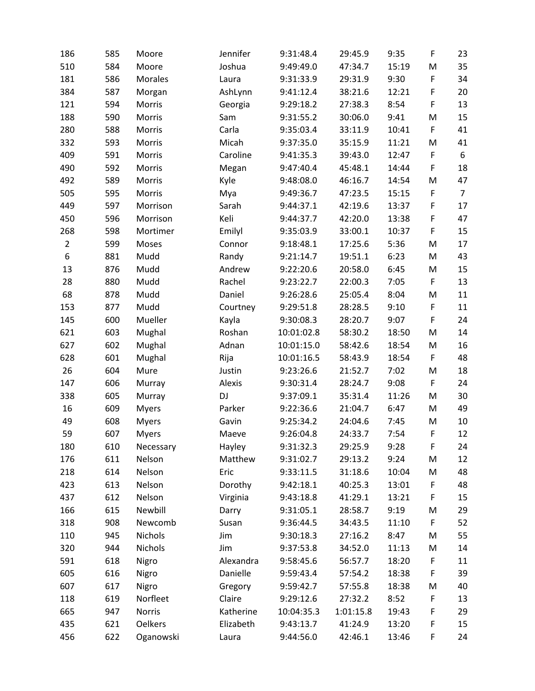| 186            | 585 | Moore          | Jennifer  | 9:31:48.4  | 29:45.9   | 9:35  | F           | 23             |
|----------------|-----|----------------|-----------|------------|-----------|-------|-------------|----------------|
| 510            | 584 | Moore          | Joshua    | 9:49:49.0  | 47:34.7   | 15:19 | M           | 35             |
| 181            | 586 | <b>Morales</b> | Laura     | 9:31:33.9  | 29:31.9   | 9:30  | F           | 34             |
| 384            | 587 | Morgan         | AshLynn   | 9:41:12.4  | 38:21.6   | 12:21 | F           | 20             |
| 121            | 594 | Morris         | Georgia   | 9:29:18.2  | 27:38.3   | 8:54  | F           | 13             |
| 188            | 590 | Morris         | Sam       | 9:31:55.2  | 30:06.0   | 9:41  | M           | 15             |
| 280            | 588 | Morris         | Carla     | 9:35:03.4  | 33:11.9   | 10:41 | $\mathsf F$ | 41             |
| 332            | 593 | Morris         | Micah     | 9:37:35.0  | 35:15.9   | 11:21 | M           | 41             |
| 409            | 591 | Morris         | Caroline  | 9:41:35.3  | 39:43.0   | 12:47 | F           | 6              |
| 490            | 592 | Morris         | Megan     | 9:47:40.4  | 45:48.1   | 14:44 | F           | 18             |
| 492            | 589 | Morris         | Kyle      | 9:48:08.0  | 46:16.7   | 14:54 | M           | 47             |
| 505            | 595 | Morris         | Mya       | 9:49:36.7  | 47:23.5   | 15:15 | $\mathsf F$ | $\overline{7}$ |
| 449            | 597 | Morrison       | Sarah     | 9:44:37.1  | 42:19.6   | 13:37 | F           | 17             |
| 450            | 596 | Morrison       | Keli      | 9:44:37.7  | 42:20.0   | 13:38 | F           | 47             |
| 268            | 598 | Mortimer       | Emilyl    | 9:35:03.9  | 33:00.1   | 10:37 | F           | 15             |
| $\overline{2}$ | 599 | Moses          | Connor    | 9:18:48.1  | 17:25.6   | 5:36  | M           | 17             |
| 6              | 881 | Mudd           | Randy     | 9:21:14.7  | 19:51.1   | 6:23  | M           | 43             |
| 13             | 876 | Mudd           | Andrew    | 9:22:20.6  | 20:58.0   | 6:45  | M           | 15             |
| 28             | 880 | Mudd           | Rachel    | 9:23:22.7  | 22:00.3   | 7:05  | F           | 13             |
| 68             | 878 | Mudd           | Daniel    | 9:26:28.6  | 25:05.4   | 8:04  | M           | 11             |
| 153            | 877 | Mudd           | Courtney  | 9:29:51.8  | 28:28.5   | 9:10  | F           | 11             |
| 145            | 600 | Mueller        | Kayla     | 9:30:08.3  | 28:20.7   | 9:07  | F           | 24             |
| 621            | 603 | Mughal         | Roshan    | 10:01:02.8 | 58:30.2   | 18:50 | M           | 14             |
| 627            | 602 | Mughal         | Adnan     | 10:01:15.0 | 58:42.6   | 18:54 | M           | 16             |
| 628            | 601 | Mughal         | Rija      | 10:01:16.5 | 58:43.9   | 18:54 | F           | 48             |
| 26             | 604 | Mure           | Justin    | 9:23:26.6  | 21:52.7   | 7:02  | M           | 18             |
| 147            | 606 | Murray         | Alexis    | 9:30:31.4  | 28:24.7   | 9:08  | F           | 24             |
| 338            | 605 | Murray         | DJ        | 9:37:09.1  | 35:31.4   | 11:26 | M           | 30             |
| 16             | 609 | <b>Myers</b>   | Parker    | 9:22:36.6  | 21:04.7   | 6:47  | M           | 49             |
| 49             | 608 | <b>Myers</b>   | Gavin     | 9:25:34.2  | 24:04.6   | 7:45  | M           | 10             |
| 59             | 607 | <b>Myers</b>   | Maeve     | 9:26:04.8  | 24:33.7   | 7:54  | F           | 12             |
| 180            | 610 | Necessary      | Hayley    | 9:31:32.3  | 29:25.9   | 9:28  | F           | 24             |
| 176            | 611 | Nelson         | Matthew   | 9:31:02.7  | 29:13.2   | 9:24  | M           | 12             |
| 218            | 614 | Nelson         | Eric      | 9:33:11.5  | 31:18.6   | 10:04 | M           | 48             |
| 423            | 613 | Nelson         | Dorothy   | 9:42:18.1  | 40:25.3   | 13:01 | F           | 48             |
| 437            | 612 | Nelson         | Virginia  | 9:43:18.8  | 41:29.1   | 13:21 | F           | 15             |
| 166            | 615 | Newbill        | Darry     | 9:31:05.1  | 28:58.7   | 9:19  | M           | 29             |
| 318            | 908 | Newcomb        | Susan     | 9:36:44.5  | 34:43.5   | 11:10 | F           | 52             |
| 110            | 945 | Nichols        | Jim       | 9:30:18.3  | 27:16.2   | 8:47  | M           | 55             |
| 320            | 944 | Nichols        | Jim       | 9:37:53.8  | 34:52.0   | 11:13 | M           | 14             |
| 591            | 618 | Nigro          | Alexandra | 9:58:45.6  | 56:57.7   | 18:20 | F           | 11             |
| 605            | 616 | Nigro          | Danielle  | 9:59:43.4  | 57:54.2   | 18:38 | F           | 39             |
| 607            | 617 | Nigro          | Gregory   | 9:59:42.7  | 57:55.8   | 18:38 | M           | 40             |
| 118            | 619 | Norfleet       | Claire    | 9:29:12.6  | 27:32.2   | 8:52  | F           | 13             |
| 665            | 947 | Norris         | Katherine | 10:04:35.3 | 1:01:15.8 | 19:43 | F           | 29             |
| 435            | 621 | <b>Oelkers</b> | Elizabeth | 9:43:13.7  | 41:24.9   | 13:20 | F           | 15             |
| 456            | 622 | Oganowski      | Laura     | 9:44:56.0  | 42:46.1   | 13:46 | F           | 24             |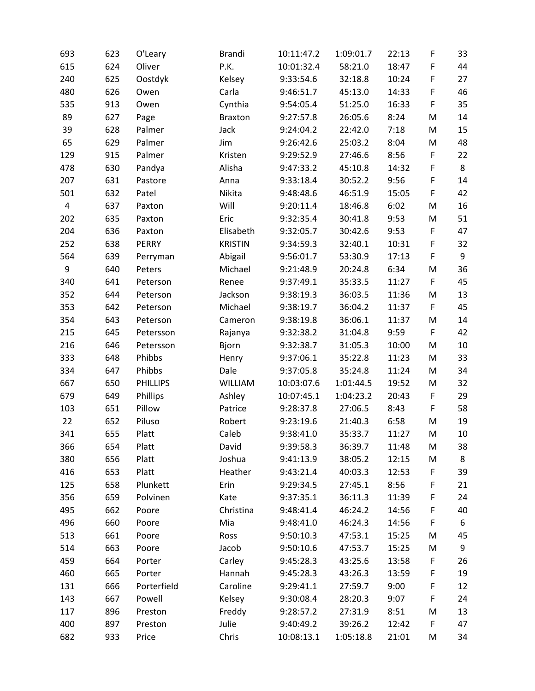| 693                     | 623 | O'Leary         | <b>Brandi</b>  | 10:11:47.2 | 1:09:01.7 | 22:13 | F | 33 |
|-------------------------|-----|-----------------|----------------|------------|-----------|-------|---|----|
| 615                     | 624 | Oliver          | P.K.           | 10:01:32.4 | 58:21.0   | 18:47 | F | 44 |
| 240                     | 625 | Oostdyk         | Kelsey         | 9:33:54.6  | 32:18.8   | 10:24 | F | 27 |
| 480                     | 626 | Owen            | Carla          | 9:46:51.7  | 45:13.0   | 14:33 | F | 46 |
| 535                     | 913 | Owen            | Cynthia        | 9:54:05.4  | 51:25.0   | 16:33 | F | 35 |
| 89                      | 627 | Page            | <b>Braxton</b> | 9:27:57.8  | 26:05.6   | 8:24  | M | 14 |
| 39                      | 628 | Palmer          | Jack           | 9:24:04.2  | 22:42.0   | 7:18  | M | 15 |
| 65                      | 629 | Palmer          | Jim            | 9:26:42.6  | 25:03.2   | 8:04  | M | 48 |
| 129                     | 915 | Palmer          | Kristen        | 9:29:52.9  | 27:46.6   | 8:56  | F | 22 |
| 478                     | 630 | Pandya          | Alisha         | 9:47:33.2  | 45:10.8   | 14:32 | F | 8  |
| 207                     | 631 | Pastore         | Anna           | 9:33:18.4  | 30:52.2   | 9:56  | F | 14 |
| 501                     | 632 | Patel           | Nikita         | 9:48:48.6  | 46:51.9   | 15:05 | F | 42 |
| $\overline{\mathbf{4}}$ | 637 | Paxton          | Will           | 9:20:11.4  | 18:46.8   | 6:02  | M | 16 |
| 202                     | 635 | Paxton          | Eric           | 9:32:35.4  | 30:41.8   | 9:53  | M | 51 |
| 204                     | 636 | Paxton          | Elisabeth      | 9:32:05.7  | 30:42.6   | 9:53  | F | 47 |
| 252                     | 638 | <b>PERRY</b>    | <b>KRISTIN</b> | 9:34:59.3  | 32:40.1   | 10:31 | F | 32 |
| 564                     | 639 | Perryman        | Abigail        | 9:56:01.7  | 53:30.9   | 17:13 | F | 9  |
| 9                       | 640 | Peters          | Michael        | 9:21:48.9  | 20:24.8   | 6:34  | M | 36 |
| 340                     | 641 | Peterson        | Renee          | 9:37:49.1  | 35:33.5   | 11:27 | F | 45 |
| 352                     | 644 | Peterson        | Jackson        | 9:38:19.3  | 36:03.5   | 11:36 | M | 13 |
| 353                     | 642 | Peterson        | Michael        | 9:38:19.7  | 36:04.2   | 11:37 | F | 45 |
| 354                     | 643 | Peterson        | Cameron        | 9:38:19.8  | 36:06.1   | 11:37 | M | 14 |
| 215                     | 645 | Petersson       | Rajanya        | 9:32:38.2  | 31:04.8   | 9:59  | F | 42 |
| 216                     | 646 | Petersson       | Bjorn          | 9:32:38.7  | 31:05.3   | 10:00 | M | 10 |
| 333                     | 648 | Phibbs          | Henry          | 9:37:06.1  | 35:22.8   | 11:23 | M | 33 |
| 334                     | 647 | Phibbs          | Dale           | 9:37:05.8  | 35:24.8   | 11:24 | M | 34 |
| 667                     | 650 | <b>PHILLIPS</b> | <b>WILLIAM</b> | 10:03:07.6 | 1:01:44.5 | 19:52 | M | 32 |
| 679                     | 649 | Phillips        | Ashley         | 10:07:45.1 | 1:04:23.2 | 20:43 | F | 29 |
| 103                     | 651 | Pillow          | Patrice        | 9:28:37.8  | 27:06.5   | 8:43  | F | 58 |
| 22                      | 652 | Piluso          | Robert         | 9:23:19.6  | 21:40.3   | 6:58  | M | 19 |
| 341                     | 655 | Platt           | Caleb          | 9:38:41.0  | 35:33.7   | 11:27 | M | 10 |
| 366                     | 654 | Platt           | David          | 9:39:58.3  | 36:39.7   | 11:48 | M | 38 |
| 380                     | 656 | Platt           | Joshua         | 9:41:13.9  | 38:05.2   | 12:15 | M | 8  |
| 416                     | 653 | Platt           | Heather        | 9:43:21.4  | 40:03.3   | 12:53 | F | 39 |
| 125                     | 658 | Plunkett        | Erin           | 9:29:34.5  | 27:45.1   | 8:56  | F | 21 |
| 356                     | 659 | Polvinen        | Kate           | 9:37:35.1  | 36:11.3   | 11:39 | F | 24 |
| 495                     | 662 | Poore           | Christina      | 9:48:41.4  | 46:24.2   | 14:56 | F | 40 |
| 496                     | 660 | Poore           | Mia            | 9:48:41.0  | 46:24.3   | 14:56 | F | 6  |
| 513                     | 661 | Poore           | Ross           | 9:50:10.3  | 47:53.1   | 15:25 | M | 45 |
| 514                     | 663 | Poore           | Jacob          | 9:50:10.6  | 47:53.7   | 15:25 | M | 9  |
| 459                     | 664 | Porter          | Carley         | 9:45:28.3  | 43:25.6   | 13:58 | F | 26 |
| 460                     | 665 | Porter          | Hannah         | 9:45:28.3  | 43:26.3   | 13:59 | F | 19 |
| 131                     | 666 | Porterfield     | Caroline       | 9:29:41.1  | 27:59.7   | 9:00  | F | 12 |
| 143                     | 667 | Powell          | Kelsey         | 9:30:08.4  | 28:20.3   | 9:07  | F | 24 |
| 117                     | 896 | Preston         | Freddy         | 9:28:57.2  | 27:31.9   | 8:51  | M | 13 |
| 400                     | 897 | Preston         | Julie          | 9:40:49.2  | 39:26.2   | 12:42 | F | 47 |
| 682                     | 933 | Price           | Chris          | 10:08:13.1 | 1:05:18.8 | 21:01 | M | 34 |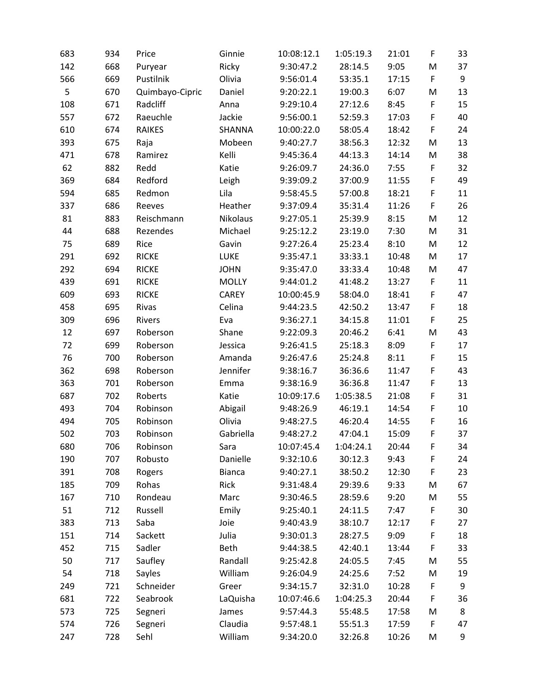| 683 | 934 | Price           | Ginnie        | 10:08:12.1 | 1:05:19.3 | 21:01 | $\mathsf F$ | 33 |
|-----|-----|-----------------|---------------|------------|-----------|-------|-------------|----|
| 142 | 668 | Puryear         | Ricky         | 9:30:47.2  | 28:14.5   | 9:05  | M           | 37 |
| 566 | 669 | Pustilnik       | Olivia        | 9:56:01.4  | 53:35.1   | 17:15 | $\mathsf F$ | 9  |
| 5   | 670 | Quimbayo-Cipric | Daniel        | 9:20:22.1  | 19:00.3   | 6:07  | M           | 13 |
| 108 | 671 | Radcliff        | Anna          | 9:29:10.4  | 27:12.6   | 8:45  | F           | 15 |
| 557 | 672 | Raeuchle        | Jackie        | 9:56:00.1  | 52:59.3   | 17:03 | F           | 40 |
| 610 | 674 | <b>RAIKES</b>   | SHANNA        | 10:00:22.0 | 58:05.4   | 18:42 | F           | 24 |
| 393 | 675 | Raja            | Mobeen        | 9:40:27.7  | 38:56.3   | 12:32 | M           | 13 |
| 471 | 678 | Ramirez         | Kelli         | 9:45:36.4  | 44:13.3   | 14:14 | M           | 38 |
| 62  | 882 | Redd            | Katie         | 9:26:09.7  | 24:36.0   | 7:55  | F           | 32 |
| 369 | 684 | Redford         | Leigh         | 9:39:09.2  | 37:00.9   | 11:55 | F           | 49 |
| 594 | 685 | Redmon          | Lila          | 9:58:45.5  | 57:00.8   | 18:21 | F           | 11 |
| 337 | 686 | Reeves          | Heather       | 9:37:09.4  | 35:31.4   | 11:26 | F           | 26 |
| 81  | 883 | Reischmann      | Nikolaus      | 9:27:05.1  | 25:39.9   | 8:15  | M           | 12 |
| 44  | 688 | Rezendes        | Michael       | 9:25:12.2  | 23:19.0   | 7:30  | M           | 31 |
| 75  | 689 | Rice            | Gavin         | 9:27:26.4  | 25:23.4   | 8:10  | M           | 12 |
| 291 | 692 | <b>RICKE</b>    | LUKE          | 9:35:47.1  | 33:33.1   | 10:48 | M           | 17 |
| 292 | 694 | <b>RICKE</b>    | <b>JOHN</b>   | 9:35:47.0  | 33:33.4   | 10:48 | M           | 47 |
| 439 | 691 | <b>RICKE</b>    | <b>MOLLY</b>  | 9:44:01.2  | 41:48.2   | 13:27 | F           | 11 |
| 609 | 693 | <b>RICKE</b>    | <b>CAREY</b>  | 10:00:45.9 | 58:04.0   | 18:41 | F           | 47 |
| 458 | 695 | Rivas           | Celina        | 9:44:23.5  | 42:50.2   | 13:47 | F           | 18 |
| 309 | 696 | Rivers          | Eva           | 9:36:27.1  | 34:15.8   | 11:01 | $\mathsf F$ | 25 |
| 12  | 697 | Roberson        | Shane         | 9:22:09.3  | 20:46.2   | 6:41  | M           | 43 |
| 72  | 699 | Roberson        | Jessica       | 9:26:41.5  | 25:18.3   | 8:09  | F           | 17 |
| 76  | 700 | Roberson        | Amanda        | 9:26:47.6  | 25:24.8   | 8:11  | F           | 15 |
| 362 | 698 | Roberson        | Jennifer      | 9:38:16.7  | 36:36.6   | 11:47 | F           | 43 |
| 363 | 701 | Roberson        | Emma          | 9:38:16.9  | 36:36.8   | 11:47 | $\mathsf F$ | 13 |
| 687 | 702 | Roberts         | Katie         | 10:09:17.6 | 1:05:38.5 | 21:08 | F           | 31 |
| 493 | 704 | Robinson        | Abigail       | 9:48:26.9  | 46:19.1   | 14:54 | F           | 10 |
| 494 | 705 | Robinson        | Olivia        | 9:48:27.5  | 46:20.4   | 14:55 | F           | 16 |
| 502 | 703 | Robinson        | Gabriella     | 9:48:27.2  | 47:04.1   | 15:09 | F           | 37 |
| 680 | 706 | Robinson        | Sara          | 10:07:45.4 | 1:04:24.1 | 20:44 | F           | 34 |
| 190 | 707 | Robusto         | Danielle      | 9:32:10.6  | 30:12.3   | 9:43  | F           | 24 |
| 391 | 708 | Rogers          | <b>Bianca</b> | 9:40:27.1  | 38:50.2   | 12:30 | $\mathsf F$ | 23 |
| 185 | 709 | Rohas           | Rick          | 9:31:48.4  | 29:39.6   | 9:33  | M           | 67 |
| 167 | 710 | Rondeau         | Marc          | 9:30:46.5  | 28:59.6   | 9:20  | M           | 55 |
| 51  | 712 | Russell         | Emily         | 9:25:40.1  | 24:11.5   | 7:47  | F           | 30 |
| 383 | 713 | Saba            | Joie          | 9:40:43.9  | 38:10.7   | 12:17 | F           | 27 |
| 151 | 714 | Sackett         | Julia         | 9:30:01.3  | 28:27.5   | 9:09  | $\mathsf F$ | 18 |
| 452 | 715 | Sadler          | Beth          | 9:44:38.5  | 42:40.1   | 13:44 | F           | 33 |
| 50  | 717 | Saufley         | Randall       | 9:25:42.8  | 24:05.5   | 7:45  | M           | 55 |
| 54  | 718 | Sayles          | William       | 9:26:04.9  | 24:25.6   | 7:52  | M           | 19 |
| 249 | 721 | Schneider       | Greer         | 9:34:15.7  | 32:31.0   | 10:28 | F           | 9  |
| 681 | 722 | Seabrook        | LaQuisha      | 10:07:46.6 | 1:04:25.3 | 20:44 | F           | 36 |
| 573 | 725 | Segneri         | James         | 9:57:44.3  | 55:48.5   | 17:58 | M           | 8  |
| 574 | 726 | Segneri         | Claudia       | 9:57:48.1  | 55:51.3   | 17:59 | F           | 47 |
| 247 | 728 | Sehl            | William       | 9:34:20.0  | 32:26.8   | 10:26 | M           | 9  |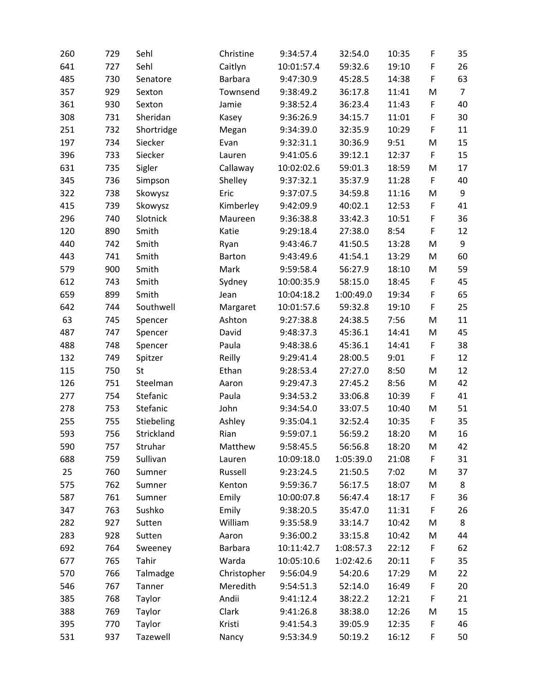| 260 | 729 | Sehl       | Christine     | 9:34:57.4  | 32:54.0   | 10:35 | F           | 35             |
|-----|-----|------------|---------------|------------|-----------|-------|-------------|----------------|
| 641 | 727 | Sehl       | Caitlyn       | 10:01:57.4 | 59:32.6   | 19:10 | F           | 26             |
| 485 | 730 | Senatore   | Barbara       | 9:47:30.9  | 45:28.5   | 14:38 | F           | 63             |
| 357 | 929 | Sexton     | Townsend      | 9:38:49.2  | 36:17.8   | 11:41 | M           | $\overline{7}$ |
| 361 | 930 | Sexton     | Jamie         | 9:38:52.4  | 36:23.4   | 11:43 | $\mathsf F$ | 40             |
| 308 | 731 | Sheridan   | Kasey         | 9:36:26.9  | 34:15.7   | 11:01 | F           | 30             |
| 251 | 732 | Shortridge | Megan         | 9:34:39.0  | 32:35.9   | 10:29 | F           | 11             |
| 197 | 734 | Siecker    | Evan          | 9:32:31.1  | 30:36.9   | 9:51  | M           | 15             |
| 396 | 733 | Siecker    | Lauren        | 9:41:05.6  | 39:12.1   | 12:37 | F           | 15             |
| 631 | 735 | Sigler     | Callaway      | 10:02:02.6 | 59:01.3   | 18:59 | M           | 17             |
| 345 | 736 | Simpson    | Shelley       | 9:37:32.1  | 35:37.9   | 11:28 | F           | 40             |
| 322 | 738 | Skowysz    | Eric          | 9:37:07.5  | 34:59.8   | 11:16 | M           | 9              |
| 415 | 739 | Skowysz    | Kimberley     | 9:42:09.9  | 40:02.1   | 12:53 | F           | 41             |
| 296 | 740 | Slotnick   | Maureen       | 9:36:38.8  | 33:42.3   | 10:51 | F           | 36             |
| 120 | 890 | Smith      | Katie         | 9:29:18.4  | 27:38.0   | 8:54  | F           | 12             |
| 440 | 742 | Smith      | Ryan          | 9:43:46.7  | 41:50.5   | 13:28 | M           | 9              |
| 443 | 741 | Smith      | <b>Barton</b> | 9:43:49.6  | 41:54.1   | 13:29 | M           | 60             |
| 579 | 900 | Smith      | Mark          | 9:59:58.4  | 56:27.9   | 18:10 | M           | 59             |
| 612 | 743 | Smith      | Sydney        | 10:00:35.9 | 58:15.0   | 18:45 | F           | 45             |
| 659 | 899 | Smith      | Jean          | 10:04:18.2 | 1:00:49.0 | 19:34 | F           | 65             |
| 642 | 744 | Southwell  | Margaret      | 10:01:57.6 | 59:32.8   | 19:10 | F           | 25             |
| 63  | 745 | Spencer    | Ashton        | 9:27:38.8  | 24:38.5   | 7:56  | M           | 11             |
| 487 | 747 | Spencer    | David         | 9:48:37.3  | 45:36.1   | 14:41 | M           | 45             |
| 488 | 748 | Spencer    | Paula         | 9:48:38.6  | 45:36.1   | 14:41 | F           | 38             |
| 132 | 749 | Spitzer    | Reilly        | 9:29:41.4  | 28:00.5   | 9:01  | F           | 12             |
| 115 | 750 | St         | Ethan         | 9:28:53.4  | 27:27.0   | 8:50  | M           | 12             |
| 126 | 751 | Steelman   | Aaron         | 9:29:47.3  | 27:45.2   | 8:56  | M           | 42             |
| 277 | 754 | Stefanic   | Paula         | 9:34:53.2  | 33:06.8   | 10:39 | F           | 41             |
| 278 | 753 | Stefanic   | John          | 9:34:54.0  | 33:07.5   | 10:40 | M           | 51             |
| 255 | 755 | Stiebeling | Ashley        | 9:35:04.1  | 32:52.4   | 10:35 | F           | 35             |
| 593 | 756 | Strickland | Rian          | 9:59:07.1  | 56:59.2   | 18:20 | M           | 16             |
| 590 | 757 | Struhar    | Matthew       | 9:58:45.5  | 56:56.8   | 18:20 | M           | 42             |
| 688 | 759 | Sullivan   | Lauren        | 10:09:18.0 | 1:05:39.0 | 21:08 | F           | 31             |
| 25  | 760 | Sumner     | Russell       | 9:23:24.5  | 21:50.5   | 7:02  | M           | 37             |
| 575 | 762 | Sumner     | Kenton        | 9:59:36.7  | 56:17.5   | 18:07 | M           | 8              |
| 587 | 761 | Sumner     | Emily         | 10:00:07.8 | 56:47.4   | 18:17 | F           | 36             |
| 347 | 763 | Sushko     | Emily         | 9:38:20.5  | 35:47.0   | 11:31 | F           | 26             |
| 282 | 927 | Sutten     | William       | 9:35:58.9  | 33:14.7   | 10:42 | M           | 8              |
| 283 | 928 | Sutten     | Aaron         | 9:36:00.2  | 33:15.8   | 10:42 | M           | 44             |
| 692 | 764 | Sweeney    | Barbara       | 10:11:42.7 | 1:08:57.3 | 22:12 | F           | 62             |
| 677 | 765 | Tahir      | Warda         | 10:05:10.6 | 1:02:42.6 | 20:11 | F           | 35             |
| 570 | 766 | Talmadge   | Christopher   | 9:56:04.9  | 54:20.6   | 17:29 | M           | 22             |
| 546 | 767 | Tanner     | Meredith      | 9:54:51.3  | 52:14.0   | 16:49 | F           | 20             |
| 385 | 768 | Taylor     | Andii         | 9:41:12.4  | 38:22.2   | 12:21 | F           | 21             |
| 388 | 769 | Taylor     | Clark         | 9:41:26.8  | 38:38.0   | 12:26 | M           | 15             |
| 395 | 770 | Taylor     | Kristi        | 9:41:54.3  | 39:05.9   | 12:35 | F           | 46             |
| 531 | 937 | Tazewell   | Nancy         | 9:53:34.9  | 50:19.2   | 16:12 | F           | 50             |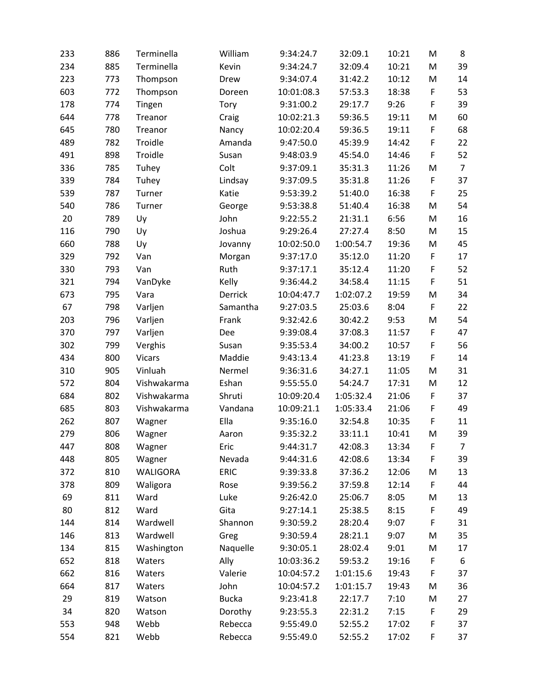| 233 | 886 | Terminella    | William      | 9:34:24.7  | 32:09.1   | 10:21 | M           | 8              |
|-----|-----|---------------|--------------|------------|-----------|-------|-------------|----------------|
| 234 | 885 | Terminella    | Kevin        | 9:34:24.7  | 32:09.4   | 10:21 | M           | 39             |
| 223 | 773 | Thompson      | Drew         | 9:34:07.4  | 31:42.2   | 10:12 | M           | 14             |
| 603 | 772 | Thompson      | Doreen       | 10:01:08.3 | 57:53.3   | 18:38 | F           | 53             |
| 178 | 774 | Tingen        | Tory         | 9:31:00.2  | 29:17.7   | 9:26  | F           | 39             |
| 644 | 778 | Treanor       | Craig        | 10:02:21.3 | 59:36.5   | 19:11 | M           | 60             |
| 645 | 780 | Treanor       | Nancy        | 10:02:20.4 | 59:36.5   | 19:11 | F           | 68             |
| 489 | 782 | Troidle       | Amanda       | 9:47:50.0  | 45:39.9   | 14:42 | F           | 22             |
| 491 | 898 | Troidle       | Susan        | 9:48:03.9  | 45:54.0   | 14:46 | F           | 52             |
| 336 | 785 | Tuhey         | Colt         | 9:37:09.1  | 35:31.3   | 11:26 | M           | $\overline{7}$ |
| 339 | 784 | Tuhey         | Lindsay      | 9:37:09.5  | 35:31.8   | 11:26 | F           | 37             |
| 539 | 787 | Turner        | Katie        | 9:53:39.2  | 51:40.0   | 16:38 | F           | 25             |
| 540 | 786 | Turner        | George       | 9:53:38.8  | 51:40.4   | 16:38 | M           | 54             |
| 20  | 789 | Uy            | John         | 9:22:55.2  | 21:31.1   | 6:56  | M           | 16             |
| 116 | 790 | Uy            | Joshua       | 9:29:26.4  | 27:27.4   | 8:50  | M           | 15             |
| 660 | 788 | Uy            | Jovanny      | 10:02:50.0 | 1:00:54.7 | 19:36 | M           | 45             |
| 329 | 792 | Van           | Morgan       | 9:37:17.0  | 35:12.0   | 11:20 | $\mathsf F$ | 17             |
| 330 | 793 | Van           | Ruth         | 9:37:17.1  | 35:12.4   | 11:20 | F           | 52             |
| 321 | 794 | VanDyke       | Kelly        | 9:36:44.2  | 34:58.4   | 11:15 | F           | 51             |
| 673 | 795 | Vara          | Derrick      | 10:04:47.7 | 1:02:07.2 | 19:59 | M           | 34             |
| 67  | 798 | Varljen       | Samantha     | 9:27:03.5  | 25:03.6   | 8:04  | F           | 22             |
| 203 | 796 | Varljen       | Frank        | 9:32:42.6  | 30:42.2   | 9:53  | M           | 54             |
| 370 | 797 | Varljen       | Dee          | 9:39:08.4  | 37:08.3   | 11:57 | F           | 47             |
| 302 | 799 | Verghis       | Susan        | 9:35:53.4  | 34:00.2   | 10:57 | F           | 56             |
| 434 | 800 | <b>Vicars</b> | Maddie       | 9:43:13.4  | 41:23.8   | 13:19 | F           | 14             |
| 310 | 905 | Vinluah       | Nermel       | 9:36:31.6  | 34:27.1   | 11:05 | M           | 31             |
| 572 | 804 | Vishwakarma   | Eshan        | 9:55:55.0  | 54:24.7   | 17:31 | M           | 12             |
| 684 | 802 | Vishwakarma   | Shruti       | 10:09:20.4 | 1:05:32.4 | 21:06 | F           | 37             |
| 685 | 803 | Vishwakarma   | Vandana      | 10:09:21.1 | 1:05:33.4 | 21:06 | F           | 49             |
| 262 | 807 | Wagner        | Ella         | 9:35:16.0  | 32:54.8   | 10:35 | F           | 11             |
| 279 | 806 | Wagner        | Aaron        | 9:35:32.2  | 33:11.1   | 10:41 | M           | 39             |
| 447 | 808 | Wagner        | Eric         | 9:44:31.7  | 42:08.3   | 13:34 | F           | $\overline{7}$ |
| 448 | 805 | Wagner        | Nevada       | 9:44:31.6  | 42:08.6   | 13:34 | F           | 39             |
| 372 | 810 | WALIGORA      | ERIC         | 9:39:33.8  | 37:36.2   | 12:06 | M           | 13             |
| 378 | 809 | Waligora      | Rose         | 9:39:56.2  | 37:59.8   | 12:14 | F           | 44             |
| 69  | 811 | Ward          | Luke         | 9:26:42.0  | 25:06.7   | 8:05  | M           | 13             |
| 80  | 812 | Ward          | Gita         | 9:27:14.1  | 25:38.5   | 8:15  | F           | 49             |
| 144 | 814 | Wardwell      | Shannon      | 9:30:59.2  | 28:20.4   | 9:07  | F           | 31             |
| 146 | 813 | Wardwell      | Greg         | 9:30:59.4  | 28:21.1   | 9:07  | M           | 35             |
| 134 | 815 | Washington    | Naquelle     | 9:30:05.1  | 28:02.4   | 9:01  | M           | 17             |
| 652 | 818 | Waters        | Ally         | 10:03:36.2 | 59:53.2   | 19:16 | F           | 6              |
| 662 | 816 | Waters        | Valerie      | 10:04:57.2 | 1:01:15.6 | 19:43 | F           | 37             |
| 664 | 817 | Waters        | John         | 10:04:57.2 | 1:01:15.7 | 19:43 | M           | 36             |
| 29  | 819 | Watson        | <b>Bucka</b> | 9:23:41.8  | 22:17.7   | 7:10  | M           | 27             |
| 34  | 820 | Watson        | Dorothy      | 9:23:55.3  | 22:31.2   | 7:15  | F           | 29             |
| 553 | 948 | Webb          | Rebecca      | 9:55:49.0  | 52:55.2   | 17:02 | F           | 37             |
| 554 | 821 | Webb          | Rebecca      | 9:55:49.0  | 52:55.2   | 17:02 | F           | 37             |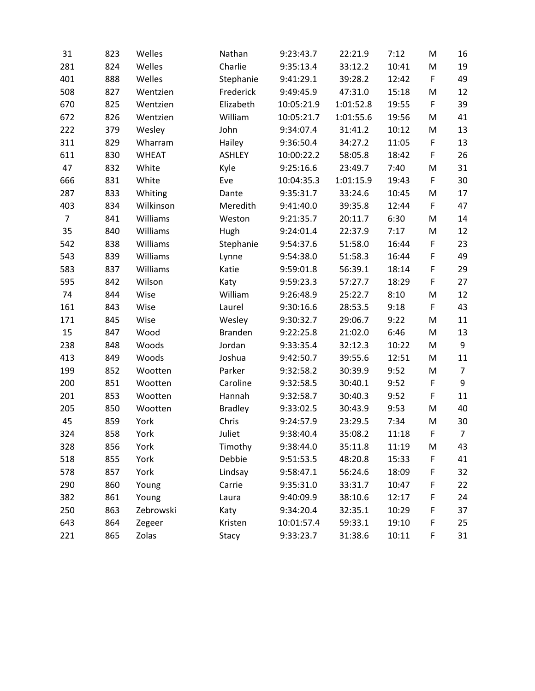| 31             | 823 | Welles       | Nathan         | 9:23:43.7  | 22:21.9   | 7:12  | M           | 16             |
|----------------|-----|--------------|----------------|------------|-----------|-------|-------------|----------------|
| 281            | 824 | Welles       | Charlie        | 9:35:13.4  | 33:12.2   | 10:41 | M           | 19             |
| 401            | 888 | Welles       | Stephanie      | 9:41:29.1  | 39:28.2   | 12:42 | F           | 49             |
| 508            | 827 | Wentzien     | Frederick      | 9:49:45.9  | 47:31.0   | 15:18 | M           | 12             |
| 670            | 825 | Wentzien     | Elizabeth      | 10:05:21.9 | 1:01:52.8 | 19:55 | F           | 39             |
| 672            | 826 | Wentzien     | William        | 10:05:21.7 | 1:01:55.6 | 19:56 | M           | 41             |
| 222            | 379 | Wesley       | John           | 9:34:07.4  | 31:41.2   | 10:12 | M           | 13             |
| 311            | 829 | Wharram      | Hailey         | 9:36:50.4  | 34:27.2   | 11:05 | F           | 13             |
| 611            | 830 | <b>WHEAT</b> | <b>ASHLEY</b>  | 10:00:22.2 | 58:05.8   | 18:42 | F           | 26             |
| 47             | 832 | White        | Kyle           | 9:25:16.6  | 23:49.7   | 7:40  | M           | 31             |
| 666            | 831 | White        | Eve            | 10:04:35.3 | 1:01:15.9 | 19:43 | F           | 30             |
| 287            | 833 | Whiting      | Dante          | 9:35:31.7  | 33:24.6   | 10:45 | M           | 17             |
| 403            | 834 | Wilkinson    | Meredith       | 9:41:40.0  | 39:35.8   | 12:44 | F           | 47             |
| $\overline{7}$ | 841 | Williams     | Weston         | 9:21:35.7  | 20:11.7   | 6:30  | M           | 14             |
| 35             | 840 | Williams     | Hugh           | 9:24:01.4  | 22:37.9   | 7:17  | M           | 12             |
| 542            | 838 | Williams     | Stephanie      | 9:54:37.6  | 51:58.0   | 16:44 | F           | 23             |
| 543            | 839 | Williams     | Lynne          | 9:54:38.0  | 51:58.3   | 16:44 | F           | 49             |
| 583            | 837 | Williams     | Katie          | 9:59:01.8  | 56:39.1   | 18:14 | F           | 29             |
| 595            | 842 | Wilson       | Katy           | 9:59:23.3  | 57:27.7   | 18:29 | $\mathsf F$ | 27             |
| 74             | 844 | Wise         | William        | 9:26:48.9  | 25:22.7   | 8:10  | M           | 12             |
| 161            | 843 | Wise         | Laurel         | 9:30:16.6  | 28:53.5   | 9:18  | F           | 43             |
| 171            | 845 | Wise         | Wesley         | 9:30:32.7  | 29:06.7   | 9:22  | M           | 11             |
| 15             | 847 | Wood         | <b>Branden</b> | 9:22:25.8  | 21:02.0   | 6:46  | M           | 13             |
| 238            | 848 | Woods        | Jordan         | 9:33:35.4  | 32:12.3   | 10:22 | M           | 9              |
| 413            | 849 | Woods        | Joshua         | 9:42:50.7  | 39:55.6   | 12:51 | M           | 11             |
| 199            | 852 | Wootten      | Parker         | 9:32:58.2  | 30:39.9   | 9:52  | M           | $\overline{7}$ |
| 200            | 851 | Wootten      | Caroline       | 9:32:58.5  | 30:40.1   | 9:52  | F           | 9              |
| 201            | 853 | Wootten      | Hannah         | 9:32:58.7  | 30:40.3   | 9:52  | F           | 11             |
| 205            | 850 | Wootten      | <b>Bradley</b> | 9:33:02.5  | 30:43.9   | 9:53  | M           | 40             |
| 45             | 859 | York         | Chris          | 9:24:57.9  | 23:29.5   | 7:34  | M           | 30             |
| 324            | 858 | York         | Juliet         | 9:38:40.4  | 35:08.2   | 11:18 | F           | $\overline{7}$ |
| 328            | 856 | York         | Timothy        | 9:38:44.0  | 35:11.8   | 11:19 | M           | 43             |
| 518            | 855 | York         | Debbie         | 9:51:53.5  | 48:20.8   | 15:33 | F           | 41             |
| 578            | 857 | York         | Lindsay        | 9:58:47.1  | 56:24.6   | 18:09 | F           | 32             |
| 290            | 860 | Young        | Carrie         | 9:35:31.0  | 33:31.7   | 10:47 | F           | 22             |
| 382            | 861 | Young        | Laura          | 9:40:09.9  | 38:10.6   | 12:17 | F           | 24             |
| 250            | 863 | Zebrowski    | Katy           | 9:34:20.4  | 32:35.1   | 10:29 | F           | 37             |
| 643            | 864 | Zegeer       | Kristen        | 10:01:57.4 | 59:33.1   | 19:10 | F           | 25             |
| 221            | 865 | Zolas        | Stacy          | 9:33:23.7  | 31:38.6   | 10:11 | F           | 31             |
|                |     |              |                |            |           |       |             |                |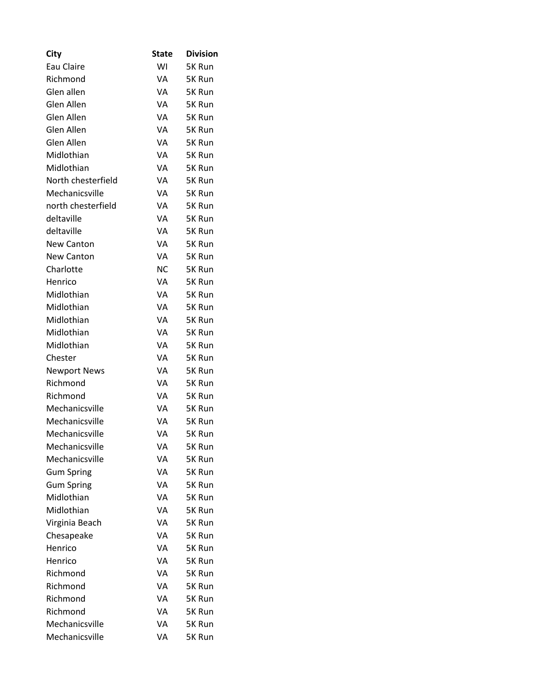| City                | <b>State</b> | <b>Division</b> |
|---------------------|--------------|-----------------|
| Eau Claire          | WI           | 5K Run          |
| Richmond            | VA           | 5K Run          |
| Glen allen          | VA           | 5K Run          |
| Glen Allen          | VA           | 5K Run          |
| Glen Allen          | VA           | 5K Run          |
| Glen Allen          | VA           | 5K Run          |
| Glen Allen          | VA           | 5K Run          |
| Midlothian          | VA           | 5K Run          |
| Midlothian          | VA           | 5K Run          |
| North chesterfield  | VA           | 5K Run          |
| Mechanicsville      | VA           | 5K Run          |
| north chesterfield  | VA           | 5K Run          |
| deltaville          | VA           | 5K Run          |
| deltaville          | VA           | 5K Run          |
| <b>New Canton</b>   | VA           | 5K Run          |
| <b>New Canton</b>   | VA           | 5K Run          |
| Charlotte           | <b>NC</b>    | 5K Run          |
| Henrico             | VA           | 5K Run          |
| Midlothian          | VA           | 5K Run          |
| Midlothian          | VA           | 5K Run          |
| Midlothian          | VA           | 5K Run          |
| Midlothian          | VA           | 5K Run          |
| Midlothian          | VA           | 5K Run          |
| Chester             | VA           | 5K Run          |
| <b>Newport News</b> | VA           | 5K Run          |
| Richmond            | VA           | 5K Run          |
| Richmond            | VA           | 5K Run          |
| Mechanicsville      | VA           | 5K Run          |
| Mechanicsville      | VA           | 5K Run          |
| Mechanicsville      | VA           | 5K Run          |
| Mechanicsville      | VA           | 5K Run          |
| Mechanicsville      | VA           | 5K Run          |
| <b>Gum Spring</b>   | VA           | 5K Run          |
| <b>Gum Spring</b>   | VA           | 5K Run          |
| Midlothian          | VA           | 5K Run          |
| Midlothian          | VA           | 5K Run          |
| Virginia Beach      | VA           | 5K Run          |
| Chesapeake          | VA           | 5K Run          |
| Henrico             | VA           | 5K Run          |
| Henrico             | VA           | 5K Run          |
| Richmond            | VA           | 5K Run          |
| Richmond            | VA           | 5K Run          |
| Richmond            | VA           | 5K Run          |
| Richmond            | VA           | 5K Run          |
| Mechanicsville      | VA           | 5K Run          |
| Mechanicsville      | VA           | 5K Run          |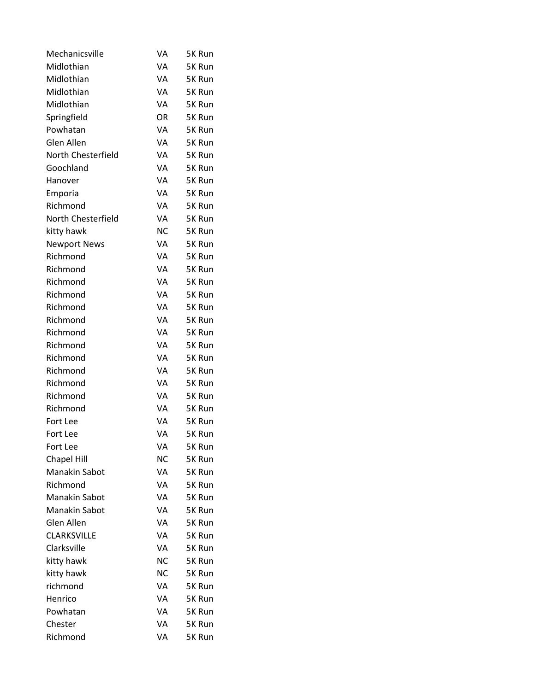| Mechanicsville       | VA        | 5K Run |
|----------------------|-----------|--------|
| Midlothian           | VA        | 5K Run |
| Midlothian           | VA        | 5K Run |
| Midlothian           | VA        | 5K Run |
| Midlothian           | VA        | 5K Run |
| Springfield          | OR        | 5K Run |
| Powhatan             | VA        | 5K Run |
| Glen Allen           | VA        | 5K Run |
| North Chesterfield   | VA        | 5K Run |
| Goochland            | VA        | 5K Run |
| Hanover              | VA        | 5K Run |
| Emporia              | VA        | 5K Run |
| Richmond             | VA        | 5K Run |
| North Chesterfield   | VA        | 5K Run |
| kitty hawk           | <b>NC</b> | 5K Run |
| <b>Newport News</b>  | VA        | 5K Run |
| Richmond             | VA        | 5K Run |
| Richmond             | VA        | 5K Run |
| Richmond             | VA        | 5K Run |
| Richmond             | VA        | 5K Run |
| Richmond             | VA        | 5K Run |
| Richmond             | VA        | 5K Run |
| Richmond             | VA        | 5K Run |
| Richmond             | VA        | 5K Run |
| Richmond             | VA        | 5K Run |
| Richmond             | VA        | 5K Run |
| Richmond             | VA        | 5K Run |
| Richmond             | VA        | 5K Run |
| Richmond             | VA        | 5K Run |
| Fort Lee             | VA        | 5K Run |
| Fort Lee             | VA        | 5K Run |
| Fort Lee             | VA        | 5K Run |
| <b>Chapel Hill</b>   | <b>NC</b> | 5K Run |
| <b>Manakin Sabot</b> | VA        | 5K Run |
| Richmond             | VA        | 5K Run |
| <b>Manakin Sabot</b> | VA        | 5K Run |
| <b>Manakin Sabot</b> | VA        | 5K Run |
| Glen Allen           | VA        | 5K Run |
| <b>CLARKSVILLE</b>   | VA        | 5K Run |
| Clarksville          | VA        | 5K Run |
| kitty hawk           | NС        | 5K Run |
| kitty hawk           | NС        | 5K Run |
| richmond             | VA        | 5K Run |
| Henrico              | VA        | 5K Run |
| Powhatan             | VA        | 5K Run |
| Chester              | VA        | 5K Run |
| Richmond             | VA        | 5K Run |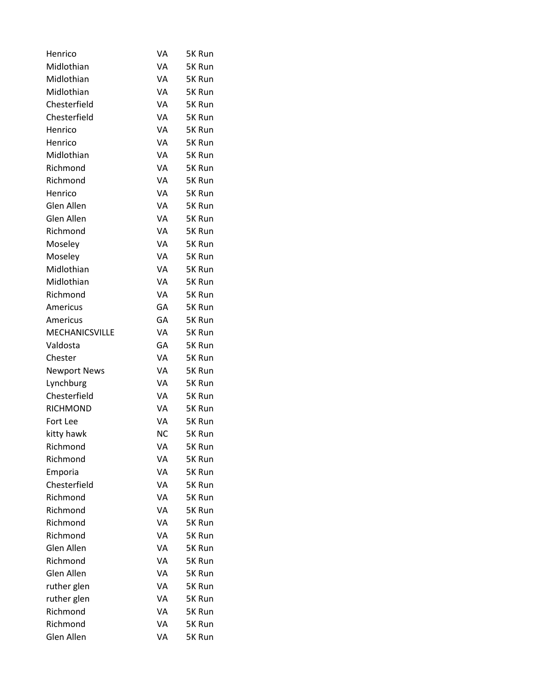| Henrico               | VA | 5K Run |
|-----------------------|----|--------|
| Midlothian            | VA | 5K Run |
| Midlothian            | VA | 5K Run |
| Midlothian            | VA | 5K Run |
| Chesterfield          | VA | 5K Run |
| Chesterfield          | VA | 5K Run |
| Henrico               | VA | 5K Run |
| Henrico               | VA | 5K Run |
| Midlothian            | VA | 5K Run |
| Richmond              | VA | 5K Run |
| Richmond              | VA | 5K Run |
| Henrico               | VA | 5K Run |
| Glen Allen            | VA | 5K Run |
| Glen Allen            | VA | 5K Run |
| Richmond              | VA | 5K Run |
| Moseley               | VA | 5K Run |
| Moseley               | VA | 5K Run |
| Midlothian            | VA | 5K Run |
| Midlothian            | VA | 5K Run |
| Richmond              | VA | 5K Run |
| Americus              | GA | 5K Run |
| Americus              | GA | 5K Run |
| <b>MECHANICSVILLE</b> | VA | 5K Run |
| Valdosta              | GА | 5K Run |
| Chester               | VA | 5K Run |
| <b>Newport News</b>   | VA | 5K Run |
| Lynchburg             | VA | 5K Run |
| Chesterfield          | VA | 5K Run |
| <b>RICHMOND</b>       | VA | 5K Run |
| Fort Lee              | VA | 5K Run |
| kitty hawk            | ΝC | 5K Run |
| Richmond              | VA | 5K Run |
| Richmond              | VA | 5K Run |
| Emporia               | VA | 5K Run |
| Chesterfield          | VA | 5K Run |
| Richmond              | VA | 5K Run |
| Richmond              | VA | 5K Run |
| Richmond              | VA | 5K Run |
| Richmond              | VA | 5K Run |
| Glen Allen            | VA | 5K Run |
| Richmond              | VA | 5K Run |
| Glen Allen            | VA | 5K Run |
| ruther glen           | VA | 5K Run |
| ruther glen           | VA | 5K Run |
| Richmond              | VA | 5K Run |
| Richmond              | VA | 5K Run |
| Glen Allen            | VA | 5K Run |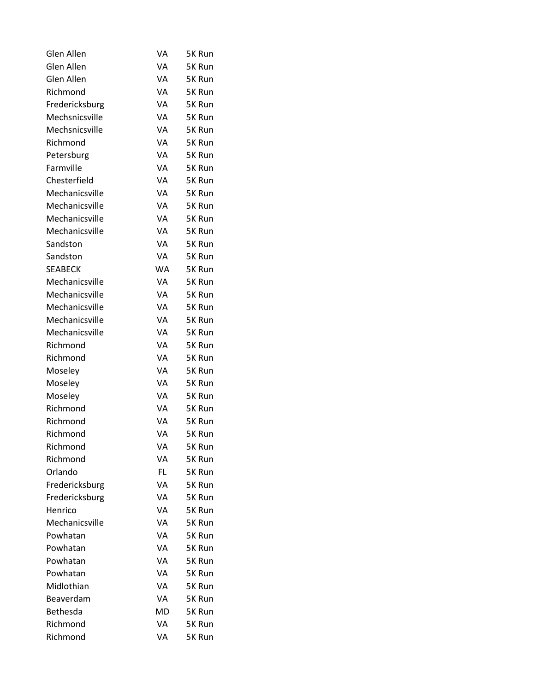| Glen Allen      | VA | 5K Run |
|-----------------|----|--------|
| Glen Allen      | VA | 5K Run |
| Glen Allen      | VA | 5K Run |
| Richmond        | VA | 5K Run |
| Fredericksburg  | VA | 5K Run |
| Mechsnicsville  | VA | 5K Run |
| Mechsnicsville  | VA | 5K Run |
| Richmond        | VA | 5K Run |
| Petersburg      | VA | 5K Run |
| Farmville       | VA | 5K Run |
| Chesterfield    | VA | 5K Run |
| Mechanicsville  | VA | 5K Run |
| Mechanicsville  | VA | 5K Run |
| Mechanicsville  | VA | 5K Run |
| Mechanicsville  | VA | 5K Run |
| Sandston        | VA | 5K Run |
| Sandston        | VA | 5K Run |
| <b>SEABECK</b>  | WA | 5K Run |
| Mechanicsville  | VA | 5K Run |
| Mechanicsville  | VA | 5K Run |
| Mechanicsville  | VA | 5K Run |
| Mechanicsville  | VA | 5K Run |
| Mechanicsville  | VA | 5K Run |
| Richmond        | VA | 5K Run |
| Richmond        | VA | 5K Run |
| Moseley         | VA | 5K Run |
| Moseley         | VA | 5K Run |
| Moseley         | VA | 5K Run |
| Richmond        | VA | 5K Run |
| Richmond        | VA | 5K Run |
| Richmond        | VA | 5K Run |
| Richmond        | VA | 5K Run |
| Richmond        | VA | 5K Run |
| Orlando         | FL | 5K Run |
| Fredericksburg  | VA | 5K Run |
| Fredericksburg  | VA | 5K Run |
| Henrico         | VA | 5K Run |
| Mechanicsville  | VA | 5K Run |
| Powhatan        | VA | 5K Run |
| Powhatan        | VA | 5K Run |
| Powhatan        | VA | 5K Run |
| Powhatan        | VA | 5K Run |
| Midlothian      | VA | 5K Run |
| Beaverdam       | VA | 5K Run |
| <b>Bethesda</b> | MD | 5K Run |
| Richmond        | VA | 5K Run |
| Richmond        | VA | 5K Run |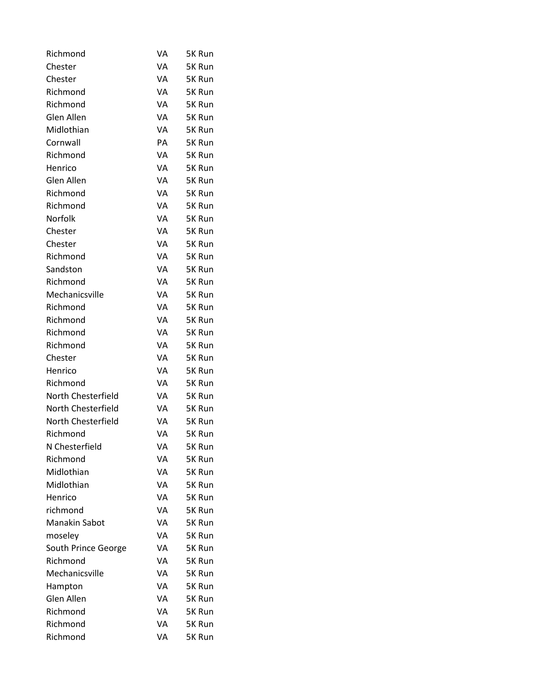| Richmond             | VA | 5K Run |
|----------------------|----|--------|
| Chester              | VA | 5K Run |
| Chester              | VA | 5K Run |
| Richmond             | VA | 5K Run |
| Richmond             | VA | 5K Run |
| Glen Allen           | VA | 5K Run |
| Midlothian           | VA | 5K Run |
| Cornwall             | PA | 5K Run |
| Richmond             | VA | 5K Run |
| Henrico              | VA | 5K Run |
| Glen Allen           | VA | 5K Run |
| Richmond             | VA | 5K Run |
| Richmond             | VA | 5K Run |
| Norfolk              | VA | 5K Run |
| Chester              | VA | 5K Run |
| Chester              | VA | 5K Run |
| Richmond             | VA | 5K Run |
| Sandston             | VA | 5K Run |
| Richmond             | VA | 5K Run |
| Mechanicsville       | VA | 5K Run |
| Richmond             | VA | 5K Run |
| Richmond             | VA | 5K Run |
| Richmond             | VA | 5K Run |
| Richmond             | VA | 5K Run |
| Chester              | VA | 5K Run |
| Henrico              | VA | 5K Run |
| Richmond             | VA | 5K Run |
| North Chesterfield   | VA | 5K Run |
| North Chesterfield   | VA | 5K Run |
| North Chesterfield   | VA | 5K Run |
| Richmond             | VA | 5K Run |
| N Chesterfield       | VA | 5K Run |
| Richmond             | VA | 5K Run |
| Midlothian           | VA | 5K Run |
| Midlothian           | VA | 5K Run |
| Henrico              | VA | 5K Run |
| richmond             | VA | 5K Run |
| <b>Manakin Sabot</b> | VA | 5K Run |
| moseley              | VA | 5K Run |
| South Prince George  | VA | 5K Run |
| Richmond             | VA | 5K Run |
| Mechanicsville       | VA | 5K Run |
| Hampton              | VA | 5K Run |
| Glen Allen           | VA | 5K Run |
| Richmond             | VA | 5K Run |
| Richmond             | VA | 5K Run |
| Richmond             | VA | 5K Run |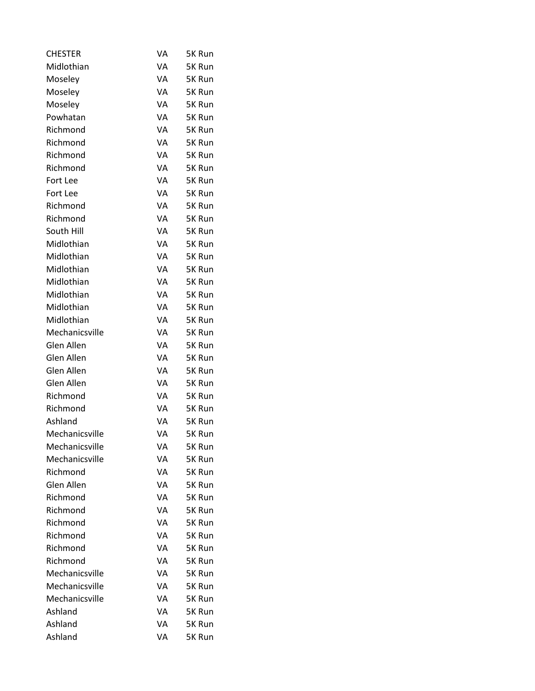| <b>CHESTER</b> | VA | 5K Run |
|----------------|----|--------|
| Midlothian     | VA | 5K Run |
| Moseley        | VA | 5K Run |
| Moseley        | VA | 5K Run |
| Moseley        | VA | 5K Run |
| Powhatan       | VA | 5K Run |
| Richmond       | VA | 5K Run |
| Richmond       | VA | 5K Run |
| Richmond       | VA | 5K Run |
| Richmond       | VA | 5K Run |
| Fort Lee       | VA | 5K Run |
| Fort Lee       | VA | 5K Run |
| Richmond       | VA | 5K Run |
| Richmond       | VA | 5K Run |
| South Hill     | VA | 5K Run |
| Midlothian     | VA | 5K Run |
| Midlothian     | VA | 5K Run |
| Midlothian     | VA | 5K Run |
| Midlothian     | VA | 5K Run |
| Midlothian     | VA | 5K Run |
| Midlothian     | VA | 5K Run |
| Midlothian     | VA | 5K Run |
| Mechanicsville | VA | 5K Run |
| Glen Allen     | VA | 5K Run |
| Glen Allen     | VA | 5K Run |
| Glen Allen     | VA | 5K Run |
| Glen Allen     | VA | 5K Run |
| Richmond       | VA | 5K Run |
| Richmond       | VA | 5K Run |
| Ashland        | VA | 5K Run |
| Mechanicsville | VA | 5K Run |
| Mechanicsville | VA | 5K Run |
| Mechanicsville | VA | 5K Run |
| Richmond       | VA | 5K Run |
| Glen Allen     | VA | 5K Run |
| Richmond       | VA | 5K Run |
| Richmond       | VA | 5K Run |
| Richmond       | VA | 5K Run |
| Richmond       | VA | 5K Run |
| Richmond       | VA | 5K Run |
| Richmond       | VA | 5K Run |
| Mechanicsville | VA | 5K Run |
| Mechanicsville | VA | 5K Run |
| Mechanicsville | VA | 5K Run |
| Ashland        | VA | 5K Run |
| Ashland        | VA | 5K Run |
| Ashland        | VA | 5K Run |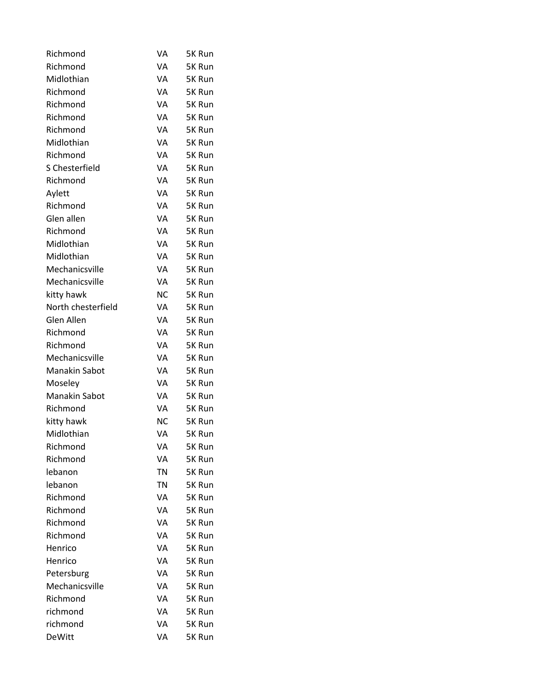| Richmond             | VA        | 5K Run |
|----------------------|-----------|--------|
| Richmond             | VA        | 5K Run |
| Midlothian           | VA        | 5K Run |
| Richmond             | VA        | 5K Run |
| Richmond             | VA        | 5K Run |
| Richmond             | VA        | 5K Run |
| Richmond             | VA        | 5K Run |
| Midlothian           | VA        | 5K Run |
| Richmond             | VA        | 5K Run |
| S Chesterfield       | VA        | 5K Run |
| Richmond             | VA        | 5K Run |
| Aylett               | VA        | 5K Run |
| Richmond             | VA        | 5K Run |
| Glen allen           | VA        | 5K Run |
| Richmond             | VA        | 5K Run |
| Midlothian           | VA        | 5K Run |
| Midlothian           | VA        | 5K Run |
| Mechanicsville       | VA        | 5K Run |
| Mechanicsville       | VA        | 5K Run |
| kitty hawk           | <b>NC</b> | 5K Run |
| North chesterfield   | VA        | 5K Run |
| Glen Allen           | VA        | 5K Run |
| Richmond             | VA        | 5K Run |
| Richmond             | VA        | 5K Run |
| Mechanicsville       | VA        | 5K Run |
| Manakin Sabot        | VA        | 5K Run |
| Moseley              | VA        | 5K Run |
| <b>Manakin Sabot</b> | VA        | 5K Run |
| Richmond             | VA        | 5K Run |
| kitty hawk           | <b>NC</b> | 5K Run |
| Midlothian           | VA        | 5K Run |
| Richmond             | VA        | 5K Run |
| Richmond             | VA        | 5K Run |
| lebanon              | ΤN        | 5K Run |
| lebanon              | ΤN        | 5K Run |
| Richmond             | VA        | 5K Run |
| Richmond             | VA        | 5K Run |
| Richmond             | VA        | 5K Run |
| Richmond             | VA        | 5K Run |
| Henrico              | VA        | 5K Run |
| Henrico              | VA        | 5K Run |
| Petersburg           | VA        | 5K Run |
| Mechanicsville       | VA        | 5K Run |
| Richmond             | VA        | 5K Run |
| richmond             | VA        | 5K Run |
| richmond             | VA        | 5K Run |
| <b>DeWitt</b>        | VA        | 5K Run |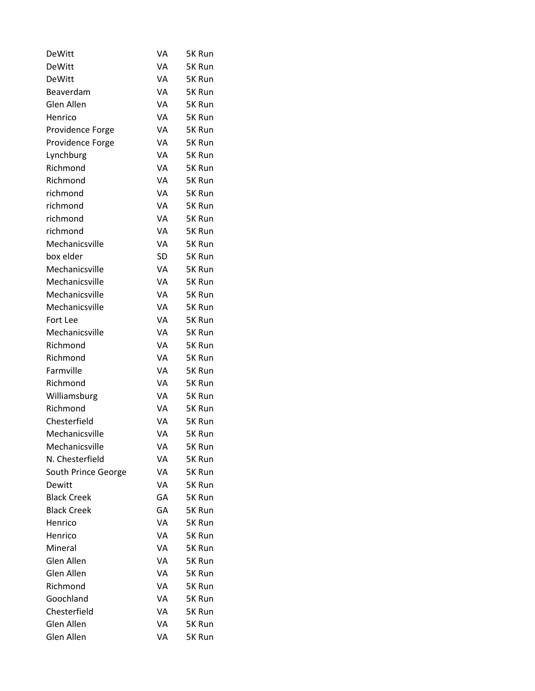| <b>DeWitt</b>       | VA | 5K Run |
|---------------------|----|--------|
| <b>DeWitt</b>       | VA | 5K Run |
| <b>DeWitt</b>       | VA | 5K Run |
| Beaverdam           | VA | 5K Run |
| Glen Allen          | VA | 5K Run |
| Henrico             | VA | 5K Run |
| Providence Forge    | VA | 5K Run |
| Providence Forge    | VA | 5K Run |
| Lynchburg           | VA | 5K Run |
| Richmond            | VA | 5K Run |
| Richmond            | VA | 5K Run |
| richmond            | VA | 5K Run |
| richmond            | VA | 5K Run |
| richmond            | VA | 5K Run |
| richmond            | VA | 5K Run |
| Mechanicsville      | VA | 5K Run |
| box elder           | SD | 5K Run |
| Mechanicsville      | VA | 5K Run |
| Mechanicsville      | VA | 5K Run |
| Mechanicsville      | VA | 5K Run |
| Mechanicsville      | VA | 5K Run |
| Fort Lee            | VA | 5K Run |
| Mechanicsville      | VA | 5K Run |
| Richmond            | VA | 5K Run |
| Richmond            | VA | 5K Run |
| Farmville           | VA | 5K Run |
| Richmond            | VA | 5K Run |
| Williamsburg        | VA | 5K Run |
| Richmond            | VA | 5K Run |
| Chesterfield        | VA | 5K Run |
| Mechanicsville      | VA | 5K Run |
| Mechanicsville      | VA | 5K Run |
| N. Chesterfield     | VA | 5K Run |
| South Prince George | VA | 5K Run |
| Dewitt              | VA | 5K Run |
| <b>Black Creek</b>  | GА | 5K Run |
| <b>Black Creek</b>  | GA | 5K Run |
| Henrico             | VA | 5K Run |
| Henrico             | VA | 5K Run |
| Mineral             | VA | 5K Run |
| Glen Allen          | VA | 5K Run |
| Glen Allen          | VA | 5K Run |
| Richmond            | VA | 5K Run |
| Goochland           | VA | 5K Run |
| Chesterfield        | VA | 5K Run |
| Glen Allen          | VA | 5K Run |
| Glen Allen          | VA | 5K Run |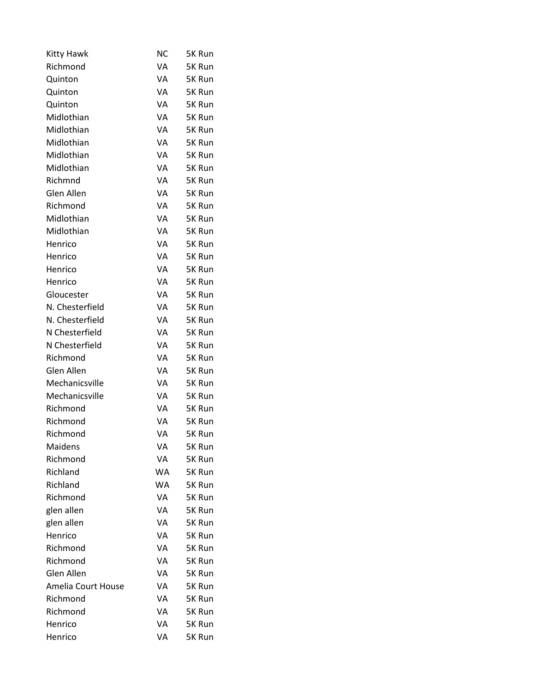| Kitty Hawk         | NС | 5K Run |
|--------------------|----|--------|
| Richmond           | VA | 5K Run |
| Quinton            | VA | 5K Run |
| Quinton            | VA | 5K Run |
| Quinton            | VA | 5K Run |
| Midlothian         | VA | 5K Run |
| Midlothian         | VA | 5K Run |
| Midlothian         | VA | 5K Run |
| Midlothian         | VA | 5K Run |
| Midlothian         | VA | 5K Run |
| Richmnd            | VA | 5K Run |
| Glen Allen         | VA | 5K Run |
| Richmond           | VA | 5K Run |
| Midlothian         | VA | 5K Run |
| Midlothian         | VA | 5K Run |
| Henrico            | VA | 5K Run |
| Henrico            | VA | 5K Run |
| Henrico            | VA | 5K Run |
| Henrico            | VA | 5K Run |
| Gloucester         | VA | 5K Run |
| N. Chesterfield    | VA | 5K Run |
| N. Chesterfield    | VA | 5K Run |
| N Chesterfield     | VA | 5K Run |
| N Chesterfield     | VA | 5K Run |
| Richmond           | VA | 5K Run |
| Glen Allen         | VA | 5K Run |
| Mechanicsville     | VA | 5K Run |
| Mechanicsville     | VA | 5K Run |
| Richmond           | VA | 5K Run |
| Richmond           | VA | 5K Run |
| Richmond           | VA | 5K Run |
| Maidens            | VA | 5K Run |
| Richmond           | VA | 5K Run |
| Richland           | WA | 5K Run |
| Richland           | WA | 5K Run |
| Richmond           | VA | 5K Run |
| glen allen         | VA | 5K Run |
| glen allen         | VA | 5K Run |
| Henrico            | VA | 5K Run |
| Richmond           | VA | 5K Run |
| Richmond           | VA | 5K Run |
| Glen Allen         | VA | 5K Run |
| Amelia Court House | VA | 5K Run |
| Richmond           | VA | 5K Run |
| Richmond           | VA | 5K Run |
| Henrico            | VA | 5K Run |
| Henrico            | VA | 5K Run |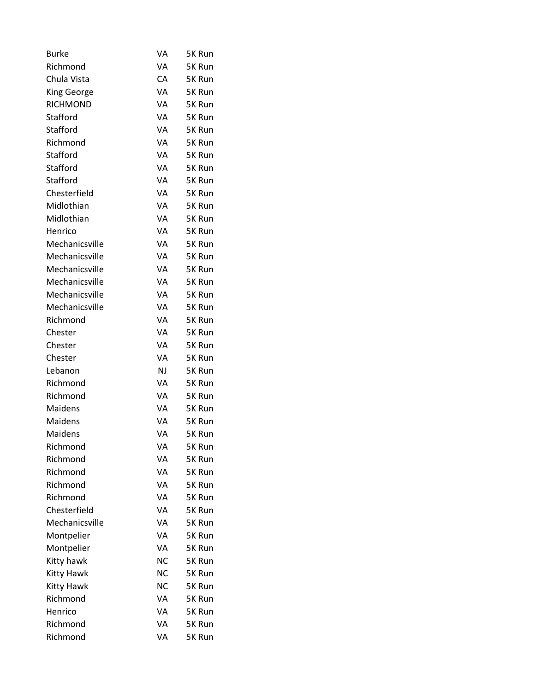| Burke              | VA        | 5K Run |
|--------------------|-----------|--------|
| Richmond           | VA        | 5K Run |
| Chula Vista        | СA        | 5K Run |
| <b>King George</b> | VA        | 5K Run |
| <b>RICHMOND</b>    | VA        | 5K Run |
| Stafford           | VA        | 5K Run |
| Stafford           | VA        | 5K Run |
| Richmond           | VA        | 5K Run |
| Stafford           | VA        | 5K Run |
| Stafford           | VA        | 5K Run |
| Stafford           | VA        | 5K Run |
| Chesterfield       | VA        | 5K Run |
| Midlothian         | VA        | 5K Run |
| Midlothian         | VA        | 5K Run |
| Henrico            | VA        | 5K Run |
| Mechanicsville     | VA        | 5K Run |
| Mechanicsville     | VA        | 5K Run |
| Mechanicsville     | VA        | 5K Run |
| Mechanicsville     | VA        | 5K Run |
| Mechanicsville     | VA        | 5K Run |
| Mechanicsville     | VA        | 5K Run |
| Richmond           | VA        | 5K Run |
| Chester            | VA        | 5K Run |
| Chester            | VA        | 5K Run |
| Chester            | VA        | 5K Run |
| Lebanon            | NJ        | 5K Run |
| Richmond           | VA        | 5K Run |
| Richmond           | VA        | 5K Run |
| Maidens            | VA        | 5K Run |
| Maidens            | VA        | 5K Run |
| Maidens            | VA        | 5K Run |
| Richmond           | VA        | 5K Run |
| Richmond           | VA        | 5K Run |
| Richmond           | VA        | 5K Run |
| Richmond           | VA        | 5K Run |
| Richmond           | VA        | 5K Run |
| Chesterfield       | VA        | 5K Run |
| Mechanicsville     | VA        | 5K Run |
| Montpelier         | VA        | 5K Run |
| Montpelier         | VA        | 5K Run |
| Kitty hawk         | <b>NC</b> | 5K Run |
| Kitty Hawk         | <b>NC</b> | 5K Run |
| <b>Kitty Hawk</b>  | NC        | 5K Run |
| Richmond           | VA        | 5K Run |
| Henrico            | VA        | 5K Run |
| Richmond           | VA        | 5K Run |
| Richmond           | VA        | 5K Run |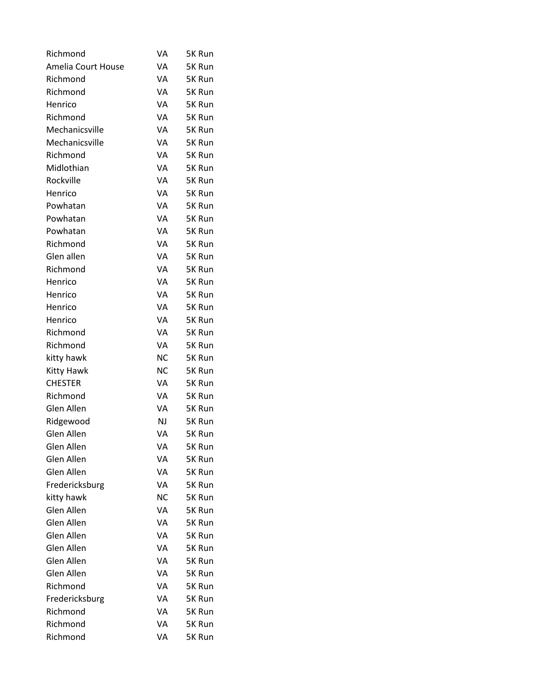| Richmond           | VA        | 5K Run |
|--------------------|-----------|--------|
| Amelia Court House | VA        | 5K Run |
| Richmond           | VA        | 5K Run |
| Richmond           | VA        | 5K Run |
| Henrico            | VA        | 5K Run |
| Richmond           | VA        | 5K Run |
| Mechanicsville     | VA        | 5K Run |
| Mechanicsville     | VA        | 5K Run |
| Richmond           | VA        | 5K Run |
| Midlothian         | VA        | 5K Run |
| Rockville          | VA        | 5K Run |
| Henrico            | VA        | 5K Run |
| Powhatan           | VA        | 5K Run |
| Powhatan           | VA        | 5K Run |
| Powhatan           | VA        | 5K Run |
| Richmond           | VA        | 5K Run |
| Glen allen         | VA        | 5K Run |
| Richmond           | VA        | 5K Run |
| Henrico            | VA        | 5K Run |
| Henrico            | VA        | 5K Run |
| Henrico            | VA        | 5K Run |
| Henrico            | VA        | 5K Run |
| Richmond           | VA        | 5K Run |
| Richmond           | VA        | 5K Run |
| kitty hawk         | <b>NC</b> | 5K Run |
| Kitty Hawk         | <b>NC</b> | 5K Run |
| <b>CHESTER</b>     | VA        | 5K Run |
| Richmond           | VA        | 5K Run |
| Glen Allen         | VA        | 5K Run |
| Ridgewood          | <b>NJ</b> | 5K Run |
| Glen Allen         | VA        | 5K Run |
| Glen Allen         | VA        | 5K Run |
| Glen Allen         | VA        | 5K Run |
| Glen Allen         | VA        | 5K Run |
| Fredericksburg     | VA        | 5K Run |
| kitty hawk         | NC        | 5K Run |
| Glen Allen         | VA        | 5K Run |
| Glen Allen         | VA        | 5K Run |
| Glen Allen         | VA        | 5K Run |
| Glen Allen         | VA        | 5K Run |
| Glen Allen         | VA        | 5K Run |
| Glen Allen         | VA        | 5K Run |
| Richmond           | VA        | 5K Run |
| Fredericksburg     | VA        | 5K Run |
| Richmond           | VA        | 5K Run |
| Richmond           | VA        | 5K Run |
| Richmond           | VA        | 5K Run |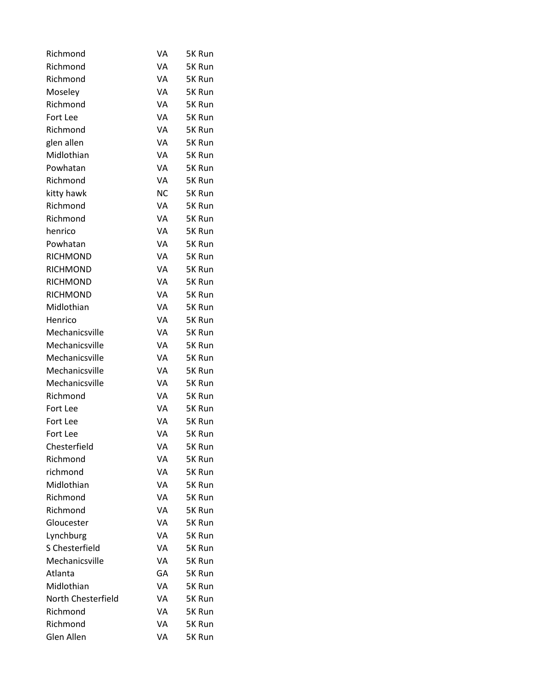| Richmond           | VA        | 5K Run |
|--------------------|-----------|--------|
| Richmond           | VA        | 5K Run |
| Richmond           | VA        | 5K Run |
| Moseley            | VA        | 5K Run |
| Richmond           | VA        | 5K Run |
| Fort Lee           | VA        | 5K Run |
| Richmond           | VA        | 5K Run |
| glen allen         | VA        | 5K Run |
| Midlothian         | VA        | 5K Run |
| Powhatan           | VA        | 5K Run |
| Richmond           | VA        | 5K Run |
| kitty hawk         | <b>NC</b> | 5K Run |
| Richmond           | VA        | 5K Run |
| Richmond           | VA        | 5K Run |
| henrico            | VA        | 5K Run |
| Powhatan           | VA        | 5K Run |
| <b>RICHMOND</b>    | VA        | 5K Run |
| <b>RICHMOND</b>    | VA        | 5K Run |
| <b>RICHMOND</b>    | VA        | 5K Run |
| <b>RICHMOND</b>    | VA        | 5K Run |
| Midlothian         | VA        | 5K Run |
| Henrico            | VA        | 5K Run |
| Mechanicsville     | VA        | 5K Run |
| Mechanicsville     | VA        | 5K Run |
| Mechanicsville     | VA        | 5K Run |
| Mechanicsville     | VA        | 5K Run |
| Mechanicsville     | VA        | 5K Run |
| Richmond           | VA        | 5K Run |
| Fort Lee           | VA        | 5K Run |
| Fort Lee           | VA        | 5K Run |
| Fort Lee           | VA        | 5K Run |
| Chesterfield       | VA        | 5K Run |
| Richmond           | VA        | 5K Run |
| richmond           | VA        | 5K Run |
| Midlothian         | VA        | 5K Run |
| Richmond           | VA        | 5K Run |
| Richmond           | VA        | 5K Run |
| Gloucester         | VA        | 5K Run |
| Lynchburg          | VA        | 5K Run |
| S Chesterfield     | VA        | 5K Run |
| Mechanicsville     | VA        | 5K Run |
| Atlanta            | GA        | 5K Run |
| Midlothian         | VA        | 5K Run |
| North Chesterfield | VA        | 5K Run |
| Richmond           | VA        | 5K Run |
| Richmond           | VA        | 5K Run |
| Glen Allen         | VA        | 5K Run |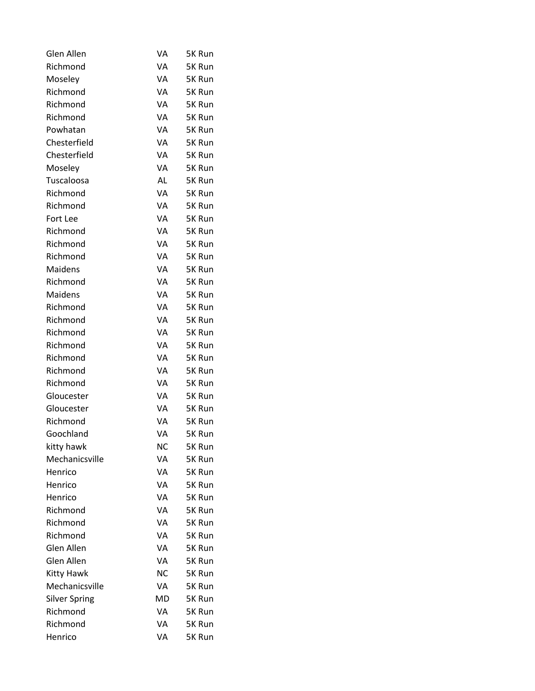| Glen Allen           | VA        | 5K Run |
|----------------------|-----------|--------|
| Richmond             | VA        | 5K Run |
| Moseley              | VA        | 5K Run |
| Richmond             | VA        | 5K Run |
| Richmond             | VA        | 5K Run |
| Richmond             | VA        | 5K Run |
| Powhatan             | VA        | 5K Run |
| Chesterfield         | VA        | 5K Run |
| Chesterfield         | VA        | 5K Run |
| Moseley              | VA        | 5K Run |
| Tuscaloosa           | AL        | 5K Run |
| Richmond             | VA        | 5K Run |
| Richmond             | VA        | 5K Run |
| Fort Lee             | VA        | 5K Run |
| Richmond             | VA        | 5K Run |
| Richmond             | VA        | 5K Run |
| Richmond             | VA        | 5K Run |
| Maidens              | VA        | 5K Run |
| Richmond             | VA        | 5K Run |
| Maidens              | VA        | 5K Run |
| Richmond             | VA        | 5K Run |
| Richmond             | VA        | 5K Run |
| Richmond             | VA        | 5K Run |
| Richmond             | VA        | 5K Run |
| Richmond             | VA        | 5K Run |
| Richmond             | VA        | 5K Run |
| Richmond             | VA        | 5K Run |
| Gloucester           | VA        | 5K Run |
| Gloucester           | VA        | 5K Run |
| Richmond             | VA        | 5K Run |
| Goochland            | VA        | 5K Run |
| kitty hawk           | NС        | 5K Run |
| Mechanicsville       | VA        | 5K Run |
| Henrico              | VA        | 5K Run |
| Henrico              | VA        | 5K Run |
| Henrico              | VA        | 5K Run |
| Richmond             | VA        | 5K Run |
| Richmond             | VA        | 5K Run |
| Richmond             | VA        | 5K Run |
| Glen Allen           | VA        | 5K Run |
| Glen Allen           | VA        | 5K Run |
| Kitty Hawk           | <b>NC</b> | 5K Run |
| Mechanicsville       | VA        | 5K Run |
| <b>Silver Spring</b> | MD        | 5K Run |
| Richmond             | VA        | 5K Run |
| Richmond             | VA        | 5K Run |
| Henrico              | VA        | 5K Run |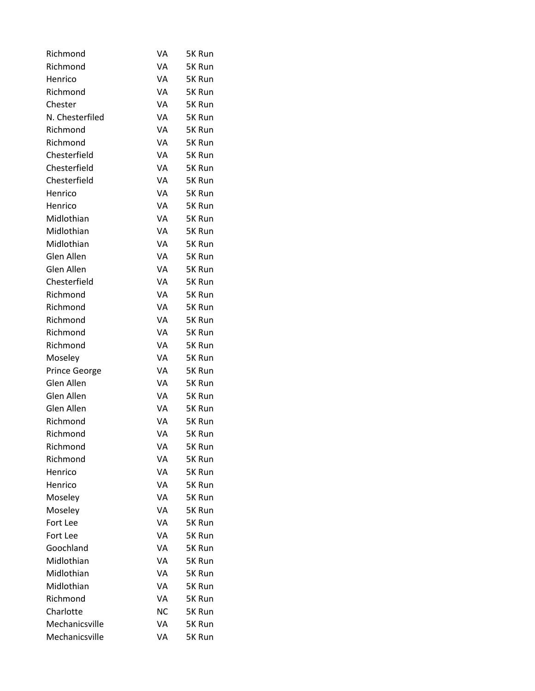| Richmond             | VA | 5K Run |
|----------------------|----|--------|
| Richmond             | VA | 5K Run |
| Henrico              | VA | 5K Run |
| Richmond             | VA | 5K Run |
| Chester              | VA | 5K Run |
| N. Chesterfiled      | VA | 5K Run |
| Richmond             | VA | 5K Run |
| Richmond             | VA | 5K Run |
| Chesterfield         | VA | 5K Run |
| Chesterfield         | VA | 5K Run |
| Chesterfield         | VA | 5K Run |
| Henrico              | VA | 5K Run |
| Henrico              | VA | 5K Run |
| Midlothian           | VA | 5K Run |
| Midlothian           | VA | 5K Run |
| Midlothian           | VA | 5K Run |
| Glen Allen           | VA | 5K Run |
| Glen Allen           | VA | 5K Run |
| Chesterfield         | VA | 5K Run |
| Richmond             | VA | 5K Run |
| Richmond             | VA | 5K Run |
| Richmond             | VA | 5K Run |
| Richmond             | VA | 5K Run |
| Richmond             | VA | 5K Run |
| Moseley              | VA | 5K Run |
| <b>Prince George</b> | VA | 5K Run |
| Glen Allen           | VA | 5K Run |
| Glen Allen           | VA | 5K Run |
| Glen Allen           | VA | 5K Run |
| Richmond             | VA | 5K Run |
| Richmond             | VA | 5K Run |
| Richmond             | VA | 5K Run |
| Richmond             | VA | 5K Run |
| Henrico              | VA | 5K Run |
| Henrico              | VA | 5K Run |
| Moseley              | VA | 5K Run |
| Moseley              | VA | 5K Run |
| Fort Lee             | VA | 5K Run |
| Fort Lee             | VA | 5K Run |
| Goochland            | VA | 5K Run |
| Midlothian           | VA | 5K Run |
| Midlothian           | VA | 5K Run |
| Midlothian           | VA | 5K Run |
| Richmond             | VA | 5K Run |
| Charlotte            | NС | 5K Run |
| Mechanicsville       | VA | 5K Run |
| Mechanicsville       | VA | 5K Run |